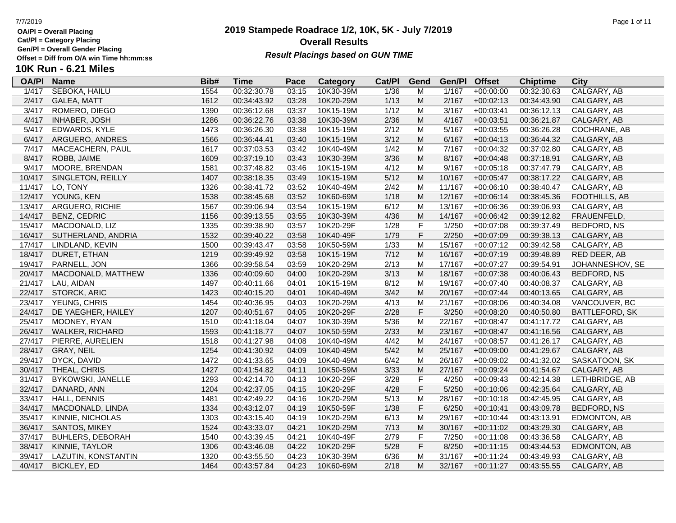**Cat/Pl = Category Placing**

**Gen/Pl = Overall Gender Placing**

## **2019 Stampede Roadrace 1/2, 10K, 5K - July 7/2019** 7/7/2019 Page 1 of 11 **Overall Results** Gen/PI = Overall Gender Placing<br>Offset = Diff from O/A win Time hh:mm:ss *Result Placings based on GUN TIME*

| <b>OA/PI</b> | <b>Name</b>             | Bib# | Time        | Pace  | Category  | Cat/PI         | Gend        | Gen/Pl | <b>Offset</b> | <b>Chiptime</b> | City               |
|--------------|-------------------------|------|-------------|-------|-----------|----------------|-------------|--------|---------------|-----------------|--------------------|
| 1/417        | <b>SEBOKA, HAILU</b>    | 1554 | 00:32:30.78 | 03:15 | 10K30-39M | $\frac{1}{36}$ | M           | 1/167  | $+00:00:00$   | 00:32:30.63     | CALGARY, AB        |
| 2/417        | GALEA, MATT             | 1612 | 00:34:43.92 | 03:28 | 10K20-29M | 1/13           | M           | 2/167  | $+00:02:13$   | 00:34:43.90     | CALGARY, AB        |
| 3/417        | ROMERO, DIEGO           | 1390 | 00:36:12.68 | 03:37 | 10K15-19M | 1/12           | M           | 3/167  | $+00:03:41$   | 00:36:12.13     | CALGARY, AB        |
| 4/417        | <b>INHABER, JOSH</b>    | 1286 | 00:36:22.76 | 03:38 | 10K30-39M | 2/36           | M           | 4/167  | $+00:03:51$   | 00:36:21.87     | CALGARY, AB        |
| 5/417        | EDWARDS, KYLE           | 1473 | 00:36:26.30 | 03:38 | 10K15-19M | 2/12           | M           | 5/167  | $+00:03:55$   | 00:36:26.28     | COCHRANE, AB       |
| 6/417        | ARGUERO, ANDRES         | 1566 | 00:36:44.41 | 03:40 | 10K15-19M | 3/12           | M           | 6/167  | $+00:04:13$   | 00:36:44.32     | CALGARY, AB        |
| 7/417        | MACEACHERN, PAUL        | 1617 | 00:37:03.53 | 03:42 | 10K40-49M | 1/42           | M           | 7/167  | $+00:04:32$   | 00:37:02.80     | CALGARY, AB        |
| 8/417        | ROBB, JAIME             | 1609 | 00:37:19.10 | 03:43 | 10K30-39M | 3/36           | M           | 8/167  | $+00:04:48$   | 00:37:18.91     | CALGARY, AB        |
| 9/417        | MOORE, BRENDAN          | 1581 | 00:37:48.82 | 03:46 | 10K15-19M | 4/12           | M           | 9/167  | $+00:05:18$   | 00:37:47.79     | CALGARY, AB        |
| 10/417       | SINGLETON, REILLY       | 1407 | 00:38:18.35 | 03:49 | 10K15-19M | 5/12           | M           | 10/167 | $+00:05:47$   | 00:38:17.22     | CALGARY, AB        |
| 11/417       | LO, TONY                | 1326 | 00:38:41.72 | 03:52 | 10K40-49M | 2/42           | M           | 11/167 | $+00:06:10$   | 00:38:40.47     | CALGARY, AB        |
| 12/417       | YOUNG, KEN              | 1538 | 00:38:45.68 | 03:52 | 10K60-69M | 1/18           | M           | 12/167 | $+00:06:14$   | 00:38:45.36     | FOOTHILLS, AB      |
| 13/417       | ARGUERO, RICHIE         | 1567 | 00:39:06.94 | 03:54 | 10K15-19M | 6/12           | M           | 13/167 | $+00:06:36$   | 00:39:06.93     | CALGARY, AB        |
| 14/417       | <b>BENZ, CEDRIC</b>     | 1156 | 00:39:13.55 | 03:55 | 10K30-39M | 4/36           | M           | 14/167 | $+00:06:42$   | 00:39:12.82     | FRAUENFELD,        |
| 15/417       | MACDONALD, LIZ          | 1335 | 00:39:38.90 | 03:57 | 10K20-29F | 1/28           | $\mathsf F$ | 1/250  | $+00:07:08$   | 00:39:37.49     | BEDFORD, NS        |
| 16/417       | SUTHERLAND, ANDRIA      | 1532 | 00:39:40.22 | 03:58 | 10K40-49F | 1/79           | $\mathsf F$ | 2/250  | $+00:07:09$   | 00:39:38.13     | CALGARY, AB        |
| 17/417       | LINDLAND, KEVIN         | 1500 | 00:39:43.47 | 03:58 | 10K50-59M | 1/33           | M           | 15/167 | $+00:07:12$   | 00:39:42.58     | CALGARY, AB        |
| 18/417       | DURET, ETHAN            | 1219 | 00:39:49.92 | 03:58 | 10K15-19M | 7/12           | M           | 16/167 | $+00:07:19$   | 00:39:48.89     | RED DEER, AB       |
| 19/417       | PARNELL, JON            | 1366 | 00:39:58.54 | 03:59 | 10K20-29M | 2/13           | M           | 17/167 | $+00:07:27$   | 00:39:54.91     | JOHANNESHOV, SE    |
| 20/417       | MACDONALD, MATTHEW      | 1336 | 00:40:09.60 | 04:00 | 10K20-29M | 3/13           | M           | 18/167 | $+00:07:38$   | 00:40:06.43     | <b>BEDFORD, NS</b> |
| 21/417       | LAU, AIDAN              | 1497 | 00:40:11.66 | 04:01 | 10K15-19M | 8/12           | M           | 19/167 | $+00:07:40$   | 00:40:08.37     | CALGARY, AB        |
| 22/417       | <b>STORCK, ARIC</b>     | 1423 | 00:40:15.20 | 04:01 | 10K40-49M | 3/42           | M           | 20/167 | $+00:07:44$   | 00:40:13.65     | CALGARY, AB        |
| 23/417       | YEUNG, CHRIS            | 1454 | 00:40:36.95 | 04:03 | 10K20-29M | 4/13           | M           | 21/167 | $+00:08:06$   | 00:40:34.08     | VANCOUVER, BC      |
| 24/417       | DE YAEGHER, HAILEY      | 1207 | 00:40:51.67 | 04:05 | 10K20-29F | 2/28           | $\mathsf F$ | 3/250  | $+00:08:20$   | 00:40:50.80     | BATTLEFORD, SK     |
| 25/417       | MOONEY, RYAN            | 1510 | 00:41:18.04 | 04:07 | 10K30-39M | 5/36           | M           | 22/167 | $+00:08:47$   | 00:41:17.72     | CALGARY, AB        |
| 26/417       | <b>WALKER, RICHARD</b>  | 1593 | 00:41:18.77 | 04:07 | 10K50-59M | 2/33           | M           | 23/167 | $+00:08:47$   | 00:41:16.56     | CALGARY, AB        |
| 27/417       | PIERRE, AURELIEN        | 1518 | 00:41:27.98 | 04:08 | 10K40-49M | 4/42           | M           | 24/167 | $+00:08:57$   | 00:41:26.17     | CALGARY, AB        |
| 28/417       | <b>GRAY, NEIL</b>       | 1254 | 00:41:30.92 | 04:09 | 10K40-49M | $5/42$         | M           | 25/167 | $+00:09:00$   | 00:41:29.67     | CALGARY, AB        |
| 29/417       | DYCK, DAVID             | 1472 | 00:41:33.65 | 04:09 | 10K40-49M | 6/42           | M           | 26/167 | $+00:09:02$   | 00:41:32.02     | SASKATOON, SK      |
| 30/417       | THEAL, CHRIS            | 1427 | 00:41:54.82 | 04:11 | 10K50-59M | 3/33           | M           | 27/167 | $+00:09:24$   | 00:41:54.67     | CALGARY, AB        |
| 31/417       | BYKOWSKI, JANELLE       | 1293 | 00:42:14.70 | 04:13 | 10K20-29F | 3/28           | $\mathsf F$ | 4/250  | $+00:09:43$   | 00:42:14.38     | LETHBRIDGE, AB     |
| 32/417       | DANARD, ANN             | 1204 | 00:42:37.05 | 04:15 | 10K20-29F | 4/28           | $\mathsf F$ | 5/250  | $+00:10:06$   | 00:42:35.64     | CALGARY, AB        |
| 33/417       | HALL, DENNIS            | 1481 | 00:42:49.22 | 04:16 | 10K20-29M | 5/13           | M           | 28/167 | $+00:10:18$   | 00:42:45.95     | CALGARY, AB        |
| 34/417       | MACDONALD, LINDA        | 1334 | 00:43:12.07 | 04:19 | 10K50-59F | 1/38           | $\mathsf F$ | 6/250  | $+00:10:41$   | 00:43:09.78     | BEDFORD, NS        |
| 35/417       | KINNIE, NICHOLAS        | 1303 | 00:43:15.40 | 04:19 | 10K20-29M | 6/13           | M           | 29/167 | $+00:10:44$   | 00:43:13.91     | EDMONTON, AB       |
| 36/417       | SANTOS, MIKEY           | 1524 | 00:43:33.07 | 04:21 | 10K20-29M | 7/13           | M           | 30/167 | $+00:11:02$   | 00:43:29.30     | CALGARY, AB        |
| 37/417       | <b>BUHLERS, DEBORAH</b> | 1540 | 00:43:39.45 | 04:21 | 10K40-49F | 2/79           | $\mathsf F$ | 7/250  | $+00:11:08$   | 00:43:36.58     | CALGARY, AB        |
| 38/417       | KINNIE, TAYLOR          | 1306 | 00:43:46.08 | 04:22 | 10K20-29F | 5/28           | $\mathsf F$ | 8/250  | $+00:11:15$   | 00:43:44.53     | EDMONTON, AB       |
| 39/417       | LAZUTIN, KONSTANTIN     | 1320 | 00:43:55.50 | 04:23 | 10K30-39M | 6/36           | М           | 31/167 | $+00:11:24$   | 00:43:49.93     | CALGARY, AB        |
| 40/417       | <b>BICKLEY, ED</b>      | 1464 | 00:43:57.84 | 04:23 | 10K60-69M | 2/18           | M           | 32/167 | $+00:11:27$   | 00:43:55.55     | CALGARY, AB        |
|              |                         |      |             |       |           |                |             |        |               |                 |                    |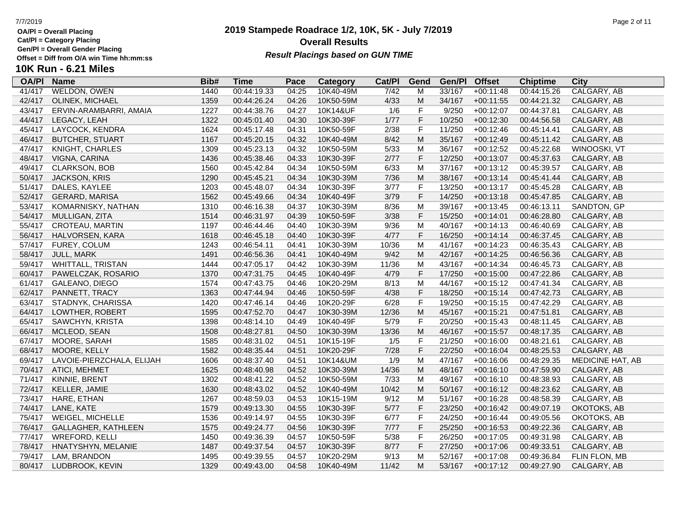**Cat/Pl = Category Placing**

**Gen/Pl = Overall Gender Placing**

# **10K Run - 6.21 Miles**

| <b>OA/PI</b> | <b>Name</b>               | Bib# | <b>Time</b> | Pace  | Category  | Cat/PI | Gend         | Gen/Pl | <b>Offset</b> | <b>Chiptime</b> | City             |
|--------------|---------------------------|------|-------------|-------|-----------|--------|--------------|--------|---------------|-----------------|------------------|
| 41/417       | WELDON, OWEN              | 1440 | 00:44:19.33 | 04:25 | 10K40-49M | 7/42   | M            | 33/167 | $+00:11:48$   | 00:44:15.26     | CALGARY, AB      |
| 42/417       | OLINEK, MICHAEL           | 1359 | 00:44:26.24 | 04:26 | 10K50-59M | 4/33   | M            | 34/167 | $+00:11:55$   | 00:44:21.32     | CALGARY, AB      |
| 43/417       | ERVIN-ARAMBARRI, AMAIA    | 1227 | 00:44:38.76 | 04:27 | 10K14&UF  | 1/6    | F            | 9/250  | $+00:12:07$   | 00:44:37.81     | CALGARY, AB      |
| 44/417       | LEGACY, LEAH              | 1322 | 00:45:01.40 | 04:30 | 10K30-39F | 1/77   | $\mathsf F$  | 10/250 | $+00:12:30$   | 00:44:56.58     | CALGARY, AB      |
| 45/417       | LAYCOCK, KENDRA           | 1624 | 00:45:17.48 | 04:31 | 10K50-59F | 2/38   | $\mathsf F$  | 11/250 | $+00:12:46$   | 00:45:14.41     | CALGARY, AB      |
| 46/417       | <b>BUTCHER, STUART</b>    | 1167 | 00:45:20.15 | 04:32 | 10K40-49M | 8/42   | M            | 35/167 | $+00:12:49$   | 00:45:11.42     | CALGARY, AB      |
| 47/417       | KNIGHT, CHARLES           | 1309 | 00:45:23.13 | 04:32 | 10K50-59M | 5/33   | M            | 36/167 | $+00:12:52$   | 00:45:22.68     | WINOOSKI, VT     |
| 48/417       | VIGNA, CARINA             | 1436 | 00:45:38.46 | 04:33 | 10K30-39F | 2/77   | $\mathsf F$  | 12/250 | $+00:13:07$   | 00:45:37.63     | CALGARY, AB      |
| 49/417       | <b>CLARKSON, BOB</b>      | 1560 | 00:45:42.84 | 04:34 | 10K50-59M | 6/33   | M            | 37/167 | $+00:13:12$   | 00:45:39.57     | CALGARY, AB      |
| 50/417       | <b>JACKSON, KRIS</b>      | 1290 | 00:45:45.21 | 04:34 | 10K30-39M | $7/36$ | M            | 38/167 | $+00:13:14$   | 00:45:41.44     | CALGARY, AB      |
| 51/417       | DALES, KAYLEE             | 1203 | 00:45:48.07 | 04:34 | 10K30-39F | 3/77   | $\mathsf F$  | 13/250 | $+00:13:17$   | 00:45:45.28     | CALGARY, AB      |
| 52/417       | GERARD, MARISA            | 1562 | 00:45:49.66 | 04:34 | 10K40-49F | 3/79   | $\mathsf F$  | 14/250 | $+00:13:18$   | 00:45:47.85     | CALGARY, AB      |
| 53/417       | KOMARNISKY, NATHAN        | 1310 | 00:46:16.38 | 04:37 | 10K30-39M | 8/36   | M            | 39/167 | $+00:13:45$   | 00:46:13.11     | SANDTON, GP      |
| 54/417       | MULLIGAN, ZITA            | 1514 | 00:46:31.97 | 04:39 | 10K50-59F | 3/38   | $\mathsf F$  | 15/250 | $+00:14:01$   | 00:46:28.80     | CALGARY, AB      |
| 55/417       | CROTEAU, MARTIN           | 1197 | 00:46:44.46 | 04:40 | 10K30-39M | 9/36   | M            | 40/167 | $+00:14:13$   | 00:46:40.69     | CALGARY, AB      |
| 56/417       | HALVORSEN, KARA           | 1618 | 00:46:45.18 | 04:40 | 10K30-39F | 4/77   | $\mathsf F$  | 16/250 | $+00:14:14$   | 00:46:37.45     | CALGARY, AB      |
| 57/417       | FUREY, COLUM              | 1243 | 00:46:54.11 | 04:41 | 10K30-39M | 10/36  | M            | 41/167 | $+00:14:23$   | 00:46:35.43     | CALGARY, AB      |
| 58/417       | <b>JULL, MARK</b>         | 1491 | 00:46:56.36 | 04:41 | 10K40-49M | 9/42   | M            | 42/167 | $+00:14:25$   | 00:46:56.36     | CALGARY, AB      |
| 59/417       | <b>WHITTALL, TRISTAN</b>  | 1444 | 00:47:05.17 | 04:42 | 10K30-39M | 11/36  | M            | 43/167 | $+00:14:34$   | 00:46:45.73     | CALGARY, AB      |
| 60/417       | PAWELCZAK, ROSARIO        | 1370 | 00:47:31.75 | 04:45 | 10K40-49F | 4/79   | $\mathsf F$  | 17/250 | $+00:15:00$   | 00:47:22.86     | CALGARY, AB      |
| 61/417       | <b>GALEANO, DIEGO</b>     | 1574 | 00:47:43.75 | 04:46 | 10K20-29M | 8/13   | M            | 44/167 | $+00:15:12$   | 00:47:41.34     | CALGARY, AB      |
| 62/417       | PANNETT, TRACY            | 1363 | 00:47:44.94 | 04:46 | 10K50-59F | 4/38   | $\mathsf F$  | 18/250 | $+00:15:14$   | 00:47:42.73     | CALGARY, AB      |
| 63/417       | STADNYK, CHARISSA         | 1420 | 00:47:46.14 | 04:46 | 10K20-29F | 6/28   | $\mathsf F$  | 19/250 | $+00:15:15$   | 00:47:42.29     | CALGARY, AB      |
| 64/417       | LOWTHER, ROBERT           | 1595 | 00:47:52.70 | 04:47 | 10K30-39M | 12/36  | M            | 45/167 | $+00:15:21$   | 00:47:51.81     | CALGARY, AB      |
| 65/417       | SAWCHYN, KRISTA           | 1398 | 00:48:14.10 | 04:49 | 10K40-49F | 5/79   | $\mathsf{F}$ | 20/250 | $+00:15:43$   | 00:48:11.45     | CALGARY, AB      |
| 66/417       | MCLEOD, SEAN              | 1508 | 00:48:27.81 | 04:50 | 10K30-39M | 13/36  | M            | 46/167 | $+00:15:57$   | 00:48:17.35     | CALGARY, AB      |
| 67/417       | MOORE, SARAH              | 1585 | 00:48:31.02 | 04:51 | 10K15-19F | 1/5    | $\mathsf F$  | 21/250 | $+00:16:00$   | 00:48:21.61     | CALGARY, AB      |
| 68/417       | MOORE, KELLY              | 1582 | 00:48:35.44 | 04:51 | 10K20-29F | 7/28   | $\mathsf F$  | 22/250 | $+00:16:04$   | 00:48:25.53     | CALGARY, AB      |
| 69/417       | LAVOIE-PIERZCHALA, ELIJAH | 1606 | 00:48:37.40 | 04:51 | 10K14&UM  | 1/9    | M            | 47/167 | $+00:16:06$   | 00:48:29.35     | MEDICINE HAT, AB |
| 70/417       | ATICI, MEHMET             | 1625 | 00:48:40.98 | 04:52 | 10K30-39M | 14/36  | M            | 48/167 | $+00:16:10$   | 00:47:59.90     | CALGARY, AB      |
| 71/417       | KINNIE, BRENT             | 1302 | 00:48:41.22 | 04:52 | 10K50-59M | 7/33   | M            | 49/167 | $+00:16:10$   | 00:48:38.93     | CALGARY, AB      |
| 72/417       | KELLER, JAMIE             | 1630 | 00:48:43.02 | 04:52 | 10K40-49M | 10/42  | M            | 50/167 | $+00:16:12$   | 00:48:23.62     | CALGARY, AB      |
| 73/417       | HARE, ETHAN               | 1267 | 00:48:59.03 | 04:53 | 10K15-19M | 9/12   | M            | 51/167 | $+00:16:28$   | 00:48:58.39     | CALGARY, AB      |
| 74/417       | LANE, KATE                | 1579 | 00:49:13.30 | 04:55 | 10K30-39F | 5/77   | $\mathsf F$  | 23/250 | $+00:16:42$   | 00:49:07.19     | OKOTOKS, AB      |
| 75/417       | WEIGEL, MICHELLE          | 1536 | 00:49:14.97 | 04:55 | 10K30-39F | 6/77   | $\mathsf F$  | 24/250 | $+00:16:44$   | 00:49:05.56     | OKOTOKS, AB      |
| 76/417       | GALLAGHER, KATHLEEN       | 1575 | 00:49:24.77 | 04:56 | 10K30-39F | 7/77   | F            | 25/250 | $+00:16:53$   | 00:49:22.36     | CALGARY, AB      |
| 77/417       | WREFORD, KELLI            | 1450 | 00:49:36.39 | 04:57 | 10K50-59F | 5/38   | $\mathsf F$  | 26/250 | $+00:17:05$   | 00:49:31.98     | CALGARY, AB      |
| 78/417       | HNATYSHYN, MELANIE        | 1487 | 00:49:37.54 | 04:57 | 10K30-39F | 8/77   | $\mathsf F$  | 27/250 | $+00:17:06$   | 00:49:33.51     | CALGARY, AB      |
| 79/417       | LAM, BRANDON              | 1495 | 00:49:39.55 | 04:57 | 10K20-29M | 9/13   | M            | 52/167 | $+00:17:08$   | 00:49:36.84     | FLIN FLON, MB    |
| 80/417       | LUDBROOK, KEVIN           | 1329 | 00:49:43.00 | 04:58 | 10K40-49M | 11/42  | M            | 53/167 | $+00:17:12$   | 00:49:27.90     | CALGARY, AB      |

## **2019 Stampede Roadrace 1/2, 10K, 5K - July 7/2019 Overall Results Result Placings based on GUN TIME**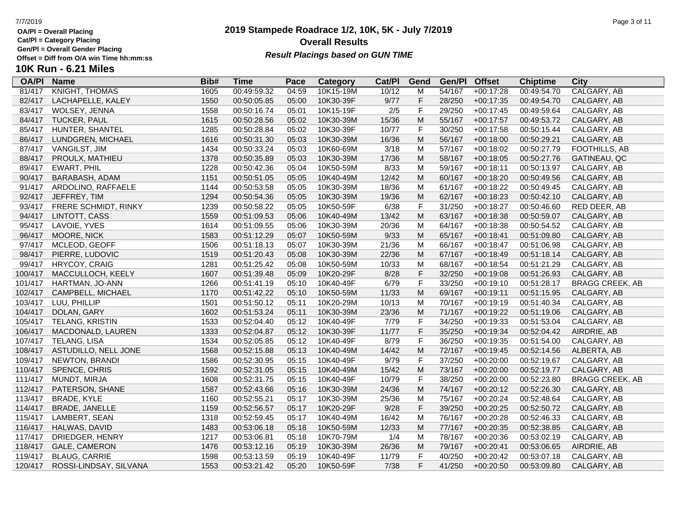**Cat/Pl = Category Placing**

**Gen/Pl = Overall Gender Placing**

### **2019 Stampede Roadrace 1/2, 10K, 5K - July 7/2019** 7/7/2019 Page 3 of 11 **Overall Results Result Placings based on GUN TIME**

| <b>OA/PI</b> | <b>Name</b>            | Bib# | <b>Time</b> | Pace  | Category  | Cat/PI | Gend                                                                                  | Gen/Pl | <b>Offset</b> | <b>Chiptime</b> | City                   |
|--------------|------------------------|------|-------------|-------|-----------|--------|---------------------------------------------------------------------------------------|--------|---------------|-----------------|------------------------|
| 81/417       | <b>KNIGHT, THOMAS</b>  | 1605 | 00:49:59.32 | 04:59 | 10K15-19M | 10/12  | M                                                                                     | 54/167 | $+00:17:28$   | 00:49:54.70     | CALGARY, AB            |
| 82/417       | LACHAPELLE, KALEY      | 1550 | 00:50:05.85 | 05:00 | 10K30-39F | 9/77   | $\mathsf F$                                                                           | 28/250 | $+00:17:35$   | 00:49:54.70     | CALGARY, AB            |
| 83/417       | WOLSEY, JENNA          | 1558 | 00:50:16.74 | 05:01 | 10K15-19F | 2/5    | $\mathsf{F}$                                                                          | 29/250 | $+00:17:45$   | 00:49:59.64     | CALGARY, AB            |
| 84/417       | <b>TUCKER, PAUL</b>    | 1615 | 00:50:28.56 | 05:02 | 10K30-39M | 15/36  | $\mathsf{M}% _{T}=\mathsf{M}_{T}\!\left( a,b\right) ,\ \mathsf{M}_{T}=\mathsf{M}_{T}$ | 55/167 | $+00:17:57$   | 00:49:53.72     | CALGARY, AB            |
| 85/417       | HUNTER, SHANTEL        | 1285 | 00:50:28.84 | 05:02 | 10K30-39F | 10/77  | $\mathsf F$                                                                           | 30/250 | $+00:17:58$   | 00:50:15.44     | CALGARY, AB            |
| 86/417       | LUNDGREN, MICHAEL      | 1616 | 00:50:31.30 | 05:03 | 10K30-39M | 16/36  | M                                                                                     | 56/167 | $+00:18:00$   | 00:50:29.21     | CALGARY, AB            |
| 87/417       | VANGILST, JIM          | 1434 | 00:50:33.24 | 05:03 | 10K60-69M | 3/18   | M                                                                                     | 57/167 | $+00:18:02$   | 00:50:27.79     | FOOTHILLS, AB          |
| 88/417       | PROULX, MATHIEU        | 1378 | 00:50:35.89 | 05:03 | 10K30-39M | 17/36  | $\mathsf{M}% _{T}=\mathsf{M}_{T}\!\left( a,b\right) ,\ \mathsf{M}_{T}=\mathsf{M}_{T}$ | 58/167 | $+00:18:05$   | 00:50:27.76     | GATINEAU, QC           |
| 89/417       | <b>EWART, PHIL</b>     | 1228 | 00:50:42.36 | 05:04 | 10K50-59M | 8/33   | M                                                                                     | 59/167 | $+00:18:11$   | 00:50:13.97     | CALGARY, AB            |
| 90/417       | BARABASH, ADAM         | 1151 | 00:50:51.05 | 05:05 | 10K40-49M | 12/42  | ${\sf M}$                                                                             | 60/167 | $+00:18:20$   | 00:50:49.56     | CALGARY, AB            |
| 91/417       | ARDOLINO, RAFFAELE     | 1144 | 00:50:53.58 | 05:05 | 10K30-39M | 18/36  | M                                                                                     | 61/167 | $+00:18:22$   | 00:50:49.45     | CALGARY, AB            |
| 92/417       | JEFFREY, TIM           | 1294 | 00:50:54.36 | 05:05 | 10K30-39M | 19/36  | ${\sf M}$                                                                             | 62/167 | $+00:18:23$   | 00:50:42.10     | CALGARY, AB            |
| 93/417       | FRERE SCHMIDT, RINKY   | 1239 | 00:50:58.22 | 05:05 | 10K50-59F | 6/38   | $\mathsf F$                                                                           | 31/250 | $+00:18:27$   | 00:50:46.60     | RED DEER, AB           |
| 94/417       | LINTOTT, CASS          | 1559 | 00:51:09.53 | 05:06 | 10K40-49M | 13/42  | ${\sf M}$                                                                             | 63/167 | $+00:18:38$   | 00:50:59.07     | CALGARY, AB            |
| 95/417       | LAVOIE, YVES           | 1614 | 00:51:09.55 | 05:06 | 10K30-39M | 20/36  | M                                                                                     | 64/167 | $+00:18:38$   | 00:50:54.52     | CALGARY, AB            |
| 96/417       | MOORE, NICK            | 1583 | 00:51:12.29 | 05:07 | 10K50-59M | 9/33   | $\mathsf{M}% _{T}=\mathsf{M}_{T}\!\left( a,b\right) ,\ \mathsf{M}_{T}=\mathsf{M}_{T}$ | 65/167 | $+00:18:41$   | 00:51:09.80     | CALGARY, AB            |
| 97/417       | MCLEOD, GEOFF          | 1506 | 00:51:18.13 | 05:07 | 10K30-39M | 21/36  | M                                                                                     | 66/167 | $+00:18:47$   | 00:51:06.98     | CALGARY, AB            |
| 98/417       | PIERRE, LUDOVIC        | 1519 | 00:51:20.43 | 05:08 | 10K30-39M | 22/36  | ${\sf M}$                                                                             | 67/167 | $+00:18:49$   | 00:51:18.14     | CALGARY, AB            |
| 99/417       | <b>HRYCOY, CRAIG</b>   | 1281 | 00:51:25.42 | 05:08 | 10K50-59M | 10/33  | M                                                                                     | 68/167 | $+00:18:54$   | 00:51:21.29     | CALGARY, AB            |
| 100/417      | MACCULLOCH, KEELY      | 1607 | 00:51:39.48 | 05:09 | 10K20-29F | 8/28   | $\mathsf F$                                                                           | 32/250 | $+00:19:08$   | 00:51:26.93     | CALGARY, AB            |
| 101/417      | HARTMAN, JO-ANN        | 1266 | 00:51:41.19 | 05:10 | 10K40-49F | 6/79   | $\mathsf F$                                                                           | 33/250 | $+00:19:10$   | 00:51:28.17     | <b>BRAGG CREEK, AB</b> |
| 102/417      | CAMPBELL, MICHAEL      | 1170 | 00:51:42.22 | 05:10 | 10K50-59M | 11/33  | ${\sf M}$                                                                             | 69/167 | $+00:19:11$   | 00:51:15.95     | CALGARY, AB            |
| 103/417      | LUU, PHILLIP           | 1501 | 00:51:50.12 | 05:11 | 10K20-29M | 10/13  | M                                                                                     | 70/167 | $+00:19:19$   | 00:51:40.34     | CALGARY, AB            |
| 104/417      | DOLAN, GARY            | 1602 | 00:51:53.24 | 05:11 | 10K30-39M | 23/36  | M                                                                                     | 71/167 | $+00:19:22$   | 00:51:19.06     | CALGARY, AB            |
| 105/417      | TELANG, KRISTIN        | 1533 | 00:52:04.40 | 05:12 | 10K40-49F | 7/79   | $\overline{F}$                                                                        | 34/250 | $+00:19:33$   | 00:51:53.04     | CALGARY, AB            |
| 106/417      | MACDONALD, LAUREN      | 1333 | 00:52:04.87 | 05:12 | 10K30-39F | 11/77  | $\mathsf F$                                                                           | 35/250 | $+00:19:34$   | 00:52:04.42     | AIRDRIE, AB            |
| 107/417      | TELANG, LISA           | 1534 | 00:52:05.85 | 05:12 | 10K40-49F | 8/79   | $\mathsf F$                                                                           | 36/250 | $+00:19:35$   | 00:51:54.00     | CALGARY, AB            |
| 108/417      | ASTUDILLO, NELL JONE   | 1568 | 00:52:15.88 | 05:13 | 10K40-49M | 14/42  | ${\sf M}$                                                                             | 72/167 | $+00:19:45$   | 00:52:14.56     | ALBERTA, AB            |
| 109/417      | NEWTON, BRANDI         | 1586 | 00:52:30.95 | 05:15 | 10K40-49F | 9/79   | $\mathsf F$                                                                           | 37/250 | $+00:20:00$   | 00:52:19.67     | CALGARY, AB            |
| 110/417      | SPENCE, CHRIS          | 1592 | 00:52:31.05 | 05:15 | 10K40-49M | 15/42  | ${\sf M}$                                                                             | 73/167 | $+00:20:00$   | 00:52:19.77     | CALGARY, AB            |
| 111/417      | MUNDT, MIRJA           | 1608 | 00:52:31.75 | 05:15 | 10K40-49F | 10/79  | $\mathsf F$                                                                           | 38/250 | $+00:20:00$   | 00:52:23.80     | <b>BRAGG CREEK, AB</b> |
| 112/417      | PATERSON, SHANE        | 1587 | 00:52:43.66 | 05:16 | 10K30-39M | 24/36  | $\mathsf{M}% _{T}=\mathsf{M}_{T}\!\left( a,b\right) ,\ \mathsf{M}_{T}=\mathsf{M}_{T}$ | 74/167 | $+00:20:12$   | 00:52:26.30     | CALGARY, AB            |
| 113/417      | <b>BRADE, KYLE</b>     | 1160 | 00:52:55.21 | 05:17 | 10K30-39M | 25/36  | M                                                                                     | 75/167 | $+00:20:24$   | 00:52:48.64     | CALGARY, AB            |
| 114/417      | <b>BRADE, JANELLE</b>  | 1159 | 00:52:56.57 | 05:17 | 10K20-29F | 9/28   | $\mathsf F$                                                                           | 39/250 | $+00:20:25$   | 00:52:50.72     | CALGARY, AB            |
| 115/417      | LAMBERT, SEAN          | 1318 | 00:52:59.45 | 05:17 | 10K40-49M | 16/42  | M                                                                                     | 76/167 | $+00:20:28$   | 00:52:46.33     | CALGARY, AB            |
| 116/417      | HALWAS, DAVID          | 1483 | 00:53:06.18 | 05:18 | 10K50-59M | 12/33  | ${\sf M}$                                                                             | 77/167 | $+00:20:35$   | 00:52:38.85     | CALGARY, AB            |
| 117/417      | DRIEDGER, HENRY        | 1217 | 00:53:06.81 | 05:18 | 10K70-79M | 1/4    | M                                                                                     | 78/167 | $+00:20:36$   | 00:53:02.19     | CALGARY, AB            |
| 118/417      | <b>GALE, CAMERON</b>   | 1476 | 00:53:12.16 | 05:19 | 10K30-39M | 26/36  | M                                                                                     | 79/167 | $+00:20:41$   | 00:53:06.65     | AIRDRIE, AB            |
| 119/417      | <b>BLAUG, CARRIE</b>   | 1598 | 00:53:13.59 | 05:19 | 10K40-49F | 11/79  | F                                                                                     | 40/250 | $+00:20:42$   | 00:53:07.18     | CALGARY, AB            |
| 120/417      | ROSSI-LINDSAY, SILVANA | 1553 | 00:53:21.42 | 05:20 | 10K50-59F | 7/38   | F                                                                                     | 41/250 | $+00:20:50$   | 00:53:09.80     | CALGARY, AB            |
|              |                        |      |             |       |           |        |                                                                                       |        |               |                 |                        |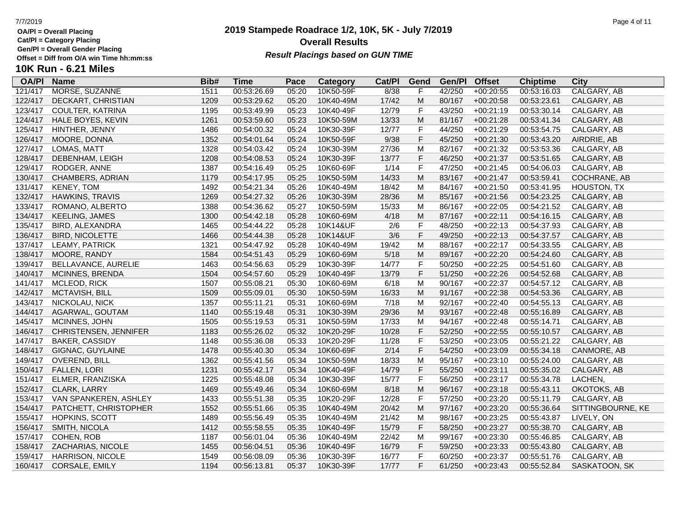**Cat/Pl = Category Placing**

**Gen/Pl = Overall Gender Placing**

## **2019 Stampede Roadrace 1/2, 10K, 5K - July 7/2019** 7/7/2019 Page 4 of 11 **Overall Results** Gen/PI = Overall Gender Placing<br>Offset = Diff from O/A win Time hh:mm:ss *Result Placings based on GUN TIME*

| <b>OA/PI</b> | <b>Name</b>             | Bib# | Time        | Pace  | Category  | Cat/PI | Gend      | Gen/Pl | <b>Offset</b> | <b>Chiptime</b> | City              |
|--------------|-------------------------|------|-------------|-------|-----------|--------|-----------|--------|---------------|-----------------|-------------------|
| 121/417      | MORSE, SUZANNE          | 1511 | 00:53:26.69 | 05:20 | 10K50-59F | 8/38   | F         | 42/250 | $+00:20:55$   | 00:53:16.03     | CALGARY, AB       |
| 122/417      | DECKART, CHRISTIAN      | 1209 | 00:53:29.62 | 05:20 | 10K40-49M | 17/42  | M         | 80/167 | $+00:20:58$   | 00:53:23.61     | CALGARY, AB       |
| 123/417      | COULTER, KATRINA        | 1195 | 00:53:49.99 | 05:23 | 10K40-49F | 12/79  | F         | 43/250 | $+00:21:19$   | 00:53:30.14     | CALGARY, AB       |
| 124/417      | HALE BOYES, KEVIN       | 1261 | 00:53:59.60 | 05:23 | 10K50-59M | 13/33  | M         | 81/167 | $+00:21:28$   | 00:53:41.34     | CALGARY, AB       |
| 125/417      | HINTHER, JENNY          | 1486 | 00:54:00.32 | 05:24 | 10K30-39F | 12/77  | F         | 44/250 | $+00:21:29$   | 00:53:54.75     | CALGARY, AB       |
| 126/417      | MOORE, DONNA            | 1352 | 00:54:01.64 | 05:24 | 10K50-59F | 9/38   | F         | 45/250 | $+00:21:30$   | 00:53:43.20     | AIRDRIE, AB       |
| 127/417      | LOMAS, MATT             | 1328 | 00:54:03.42 | 05:24 | 10K30-39M | 27/36  | M         | 82/167 | $+00:21:32$   | 00:53:53.36     | CALGARY, AB       |
| 128/417      | DEBENHAM, LEIGH         | 1208 | 00:54:08.53 | 05:24 | 10K30-39F | 13/77  | F         | 46/250 | $+00:21:37$   | 00:53:51.65     | CALGARY, AB       |
| 129/417      | RODGER, ANNE            | 1387 | 00:54:16.49 | 05:25 | 10K60-69F | 1/14   | F.        | 47/250 | $+00:21:45$   | 00:54:06.03     | CALGARY, AB       |
| 130/417      | CHAMBERS, ADRIAN        | 1179 | 00:54:17.95 | 05:25 | 10K50-59M | 14/33  | ${\sf M}$ | 83/167 | $+00:21:47$   | 00:53:59.41     | COCHRANE, AB      |
| 131/417      | <b>KENEY, TOM</b>       | 1492 | 00:54:21.34 | 05:26 | 10K40-49M | 18/42  | M         | 84/167 | $+00:21:50$   | 00:53:41.95     | HOUSTON, TX       |
| 132/417      | HAWKINS, TRAVIS         | 1269 | 00:54:27.32 | 05:26 | 10K30-39M | 28/36  | M         | 85/167 | $+00:21:56$   | 00:54:23.25     | CALGARY, AB       |
| 133/417      | ROMANO, ALBERTO         | 1388 | 00:54:36.62 | 05:27 | 10K50-59M | 15/33  | M         | 86/167 | $+00:22:05$   | 00:54:21.52     | CALGARY, AB       |
| 134/417      | <b>KEELING, JAMES</b>   | 1300 | 00:54:42.18 | 05:28 | 10K60-69M | 4/18   | ${\sf M}$ | 87/167 | $+00:22:11$   | 00:54:16.15     | CALGARY, AB       |
| 135/417      | BIRD, ALEXANDRA         | 1465 | 00:54:44.22 | 05:28 | 10K14&UF  | 2/6    | F         | 48/250 | $+00:22:13$   | 00:54:37.93     | CALGARY, AB       |
| 136/417      | <b>BIRD, NICOLETTE</b>  | 1466 | 00:54:44.38 | 05:28 | 10K14&UF  | 3/6    | F         | 49/250 | $+00:22:13$   | 00:54:37.57     | CALGARY, AB       |
| 137/417      | LEAMY, PATRICK          | 1321 | 00:54:47.92 | 05:28 | 10K40-49M | 19/42  | M         | 88/167 | $+00:22:17$   | 00:54:33.55     | CALGARY, AB       |
| 138/417      | MOORE, RANDY            | 1584 | 00:54:51.43 | 05:29 | 10K60-69M | $5/18$ | M         | 89/167 | $+00:22:20$   | 00:54:24.60     | CALGARY, AB       |
| 139/417      | BELLAVANCE, AURELIE     | 1463 | 00:54:56.63 | 05:29 | 10K30-39F | 14/77  | F         | 50/250 | $+00:22:25$   | 00:54:51.60     | CALGARY, AB       |
| 140/417      | MCINNES, BRENDA         | 1504 | 00:54:57.60 | 05:29 | 10K40-49F | 13/79  | F         | 51/250 | $+00:22:26$   | 00:54:52.68     | CALGARY, AB       |
| 141/417      | MCLEOD, RICK            | 1507 | 00:55:08.21 | 05:30 | 10K60-69M | 6/18   | M         | 90/167 | $+00:22:37$   | 00:54:57.12     | CALGARY, AB       |
| 142/417      | MCTAVISH, BILL          | 1509 | 00:55:09.01 | 05:30 | 10K50-59M | 16/33  | M         | 91/167 | $+00:22:38$   | 00:54:53.36     | CALGARY, AB       |
| 143/417      | NICKOLAU, NICK          | 1357 | 00:55:11.21 | 05:31 | 10K60-69M | 7/18   | M         | 92/167 | $+00:22:40$   | 00:54:55.13     | CALGARY, AB       |
| 144/417      | AGARWAL, GOUTAM         | 1140 | 00:55:19.48 | 05:31 | 10K30-39M | 29/36  | M         | 93/167 | $+00:22:48$   | 00:55:16.89     | CALGARY, AB       |
| 145/417      | MCINNES, JOHN           | 1505 | 00:55:19.53 | 05:31 | 10K50-59M | 17/33  | M         | 94/167 | $+00:22:48$   | 00:55:14.71     | CALGARY, AB       |
| 146/417      | CHRISTENSEN, JENNIFER   | 1183 | 00:55:26.02 | 05:32 | 10K20-29F | 10/28  | F         | 52/250 | $+00:22:55$   | 00:55:10.57     | CALGARY, AB       |
| 147/417      | <b>BAKER, CASSIDY</b>   | 1148 | 00:55:36.08 | 05:33 | 10K20-29F | 11/28  | F         | 53/250 | $+00:23:05$   | 00:55:21.22     | CALGARY, AB       |
| 148/417      | GIGNAC, GUYLAINE        | 1478 | 00:55:40.30 | 05:34 | 10K60-69F | 2/14   | F         | 54/250 | $+00:23:09$   | 00:55:34.18     | CANMORE, AB       |
| 149/417      | <b>OVEREND, BILL</b>    | 1362 | 00:55:41.56 | 05:34 | 10K50-59M | 18/33  | M         | 95/167 | $+00:23:10$   | 00:55:24.00     | CALGARY, AB       |
| 150/417      | <b>FALLEN, LORI</b>     | 1231 | 00:55:42.17 | 05:34 | 10K40-49F | 14/79  | F         | 55/250 | $+00:23:11$   | 00:55:35.02     | CALGARY, AB       |
| 151/417      | ELMER, FRANZISKA        | 1225 | 00:55:48.08 | 05:34 | 10K30-39F | 15/77  | F         | 56/250 | $+00:23:17$   | 00:55:34.78     | LACHEN,           |
| 152/417      | CLARK, LARRY            | 1469 | 00:55:49.46 | 05:34 | 10K60-69M | 8/18   | ${\sf M}$ | 96/167 | $+00:23:18$   | 00:55:43.11     | OKOTOKS, AB       |
| 153/417      | VAN SPANKEREN, ASHLEY   | 1433 | 00:55:51.38 | 05:35 | 10K20-29F | 12/28  | F         | 57/250 | $+00:23:20$   | 00:55:11.79     | CALGARY, AB       |
| 154/417      | PATCHETT, CHRISTOPHER   | 1552 | 00:55:51.66 | 05:35 | 10K40-49M | 20/42  | M         | 97/167 | $+00:23:20$   | 00:55:36.64     | SITTINGBOURNE, KE |
| 155/417      | HOPKINS, SCOTT          | 1489 | 00:55:56.49 | 05:35 | 10K40-49M | 21/42  | M         | 98/167 | $+00:23:25$   | 00:55:43.87     | LIVELY, ON        |
| 156/417      | SMITH, NICOLA           | 1412 | 00:55:58.55 | 05:35 | 10K40-49F | 15/79  | F         | 58/250 | $+00:23:27$   | 00:55:38.70     | CALGARY, AB       |
| 157/417      | COHEN, ROB              | 1187 | 00:56:01.04 | 05:36 | 10K40-49M | 22/42  | M         | 99/167 | $+00:23:30$   | 00:55:46.85     | CALGARY, AB       |
| 158/417      | ZACHARIAS, NICOLE       | 1455 | 00:56:04.51 | 05:36 | 10K40-49F | 16/79  | F         | 59/250 | $+00:23:33$   | 00:55:43.80     | CALGARY, AB       |
| 159/417      | <b>HARRISON, NICOLE</b> | 1549 | 00:56:08.09 | 05:36 | 10K30-39F | 16/77  | F.        | 60/250 | $+00:23:37$   | 00:55:51.76     | CALGARY, AB       |
| 160/417      | CORSALE, EMILY          | 1194 | 00:56:13.81 | 05:37 | 10K30-39F | 17/77  | F         | 61/250 | $+00:23:43$   | 00:55:52.84     | SASKATOON, SK     |
|              |                         |      |             |       |           |        |           |        |               |                 |                   |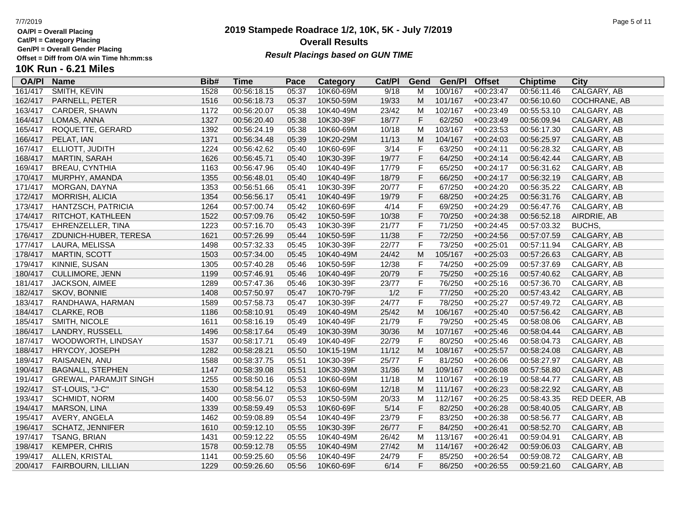**Cat/Pl = Category Placing**

**Gen/Pl = Overall Gender Placing**

### **2019 Stampede Roadrace 1/2, 10K, 5K - July 7/2019** 7/7/2019 Page 5 of 11 **Overall Results Result Placings based on GUN TIME**

| <b>OA/PI</b> | <b>Name</b>                   | Bib# | Time        | Pace  | Category  | Cat/PI | Gend           | Gen/Pl  | <b>Offset</b> | <b>Chiptime</b> | City         |
|--------------|-------------------------------|------|-------------|-------|-----------|--------|----------------|---------|---------------|-----------------|--------------|
| 161/417      | SMITH, KEVIN                  | 1528 | 00:56:18.15 | 05:37 | 10K60-69M | 9/18   | м              | 100/167 | $+00:23:47$   | 00:56:11.46     | CALGARY, AB  |
| 162/417      | PARNELL, PETER                | 1516 | 00:56:18.73 | 05:37 | 10K50-59M | 19/33  | M              | 101/167 | $+00:23:47$   | 00:56:10.60     | COCHRANE, AB |
| 163/417      | CARDER, SHAWN                 | 1172 | 00:56:20.07 | 05:38 | 10K40-49M | 23/42  | M              | 102/167 | $+00:23:49$   | 00:55:53.10     | CALGARY, AB  |
| 164/417      | LOMAS, ANNA                   | 1327 | 00:56:20.40 | 05:38 | 10K30-39F | 18/77  | $\mathsf F$    | 62/250  | $+00:23:49$   | 00:56:09.94     | CALGARY, AB  |
| 165/417      | ROQUETTE, GERARD              | 1392 | 00:56:24.19 | 05:38 | 10K60-69M | 10/18  | M              | 103/167 | $+00:23:53$   | 00:56:17.30     | CALGARY, AB  |
| 166/417      | PELAT, IAN                    | 1371 | 00:56:34.48 | 05:39 | 10K20-29M | 11/13  | M              | 104/167 | $+00:24:03$   | 00:56:25.97     | CALGARY, AB  |
| 167/417      | ELLIOTT, JUDITH               | 1224 | 00:56:42.62 | 05:40 | 10K60-69F | 3/14   | $\mathsf{F}$   | 63/250  | $+00:24:11$   | 00:56:28.32     | CALGARY, AB  |
| 168/417      | <b>MARTIN, SARAH</b>          | 1626 | 00:56:45.71 | 05:40 | 10K30-39F | 19/77  | $\mathsf F$    | 64/250  | $+00:24:14$   | 00:56:42.44     | CALGARY, AB  |
| 169/417      | <b>BREAU, CYNTHIA</b>         | 1163 | 00:56:47.96 | 05:40 | 10K40-49F | 17/79  | $\mathsf F$    | 65/250  | $+00:24:17$   | 00:56:31.62     | CALGARY, AB  |
| 170/417      | MURPHY, AMANDA                | 1355 | 00:56:48.01 | 05:40 | 10K40-49F | 18/79  | $\mathsf F$    | 66/250  | $+00:24:17$   | 00:56:32.19     | CALGARY, AB  |
| 171/417      | MORGAN, DAYNA                 | 1353 | 00:56:51.66 | 05:41 | 10K30-39F | 20/77  | F              | 67/250  | $+00:24:20$   | 00:56:35.22     | CALGARY, AB  |
| 172/417      | MORRISH, ALICIA               | 1354 | 00:56:56.17 | 05:41 | 10K40-49F | 19/79  | F              | 68/250  | $+00:24:25$   | 00:56:31.76     | CALGARY, AB  |
| 173/417      | HANTZSCH, PATRICIA            | 1264 | 00:57:00.74 | 05:42 | 10K60-69F | 4/14   | $\overline{F}$ | 69/250  | +00:24:29     | 00:56:47.76     | CALGARY, AB  |
| 174/417      | RITCHOT, KATHLEEN             | 1522 | 00:57:09.76 | 05:42 | 10K50-59F | 10/38  | $\mathsf F$    | 70/250  | $+00:24:38$   | 00:56:52.18     | AIRDRIE, AB  |
| 175/417      | EHRENZELLER, TINA             | 1223 | 00:57:16.70 | 05:43 | 10K30-39F | 21/77  | $\mathsf{F}$   | 71/250  | $+00:24:45$   | 00:57:03.32     | BUCHS,       |
| 176/417      | ZDUNICH-HUBER, TERESA         | 1621 | 00:57:26.99 | 05:44 | 10K50-59F | 11/38  | $\mathsf F$    | 72/250  | $+00:24:56$   | 00:57:07.59     | CALGARY, AB  |
| 177/417      | LAURA, MELISSA                | 1498 | 00:57:32.33 | 05:45 | 10K30-39F | 22/77  | $\mathsf F$    | 73/250  | $+00:25:01$   | 00:57:11.94     | CALGARY, AB  |
| 178/417      | MARTIN, SCOTT                 | 1503 | 00:57:34.00 | 05:45 | 10K40-49M | 24/42  | ${\sf M}$      | 105/167 | $+00:25:03$   | 00:57:26.63     | CALGARY, AB  |
| 179/417      | KINNIE, SUSAN                 | 1305 | 00:57:40.28 | 05:46 | 10K50-59F | 12/38  | $\mathsf{F}$   | 74/250  | $+00:25:09$   | 00:57:37.69     | CALGARY, AB  |
| 180/417      | CULLIMORE, JENN               | 1199 | 00:57:46.91 | 05:46 | 10K40-49F | 20/79  | $\mathsf F$    | 75/250  | $+00:25:16$   | 00:57:40.62     | CALGARY, AB  |
| 181/417      | <b>JACKSON, AIMEE</b>         | 1289 | 00:57:47.36 | 05:46 | 10K30-39F | 23/77  | $\mathsf F$    | 76/250  | $+00:25:16$   | 00:57:36.70     | CALGARY, AB  |
| 182/417      | SKOV, BONNIE                  | 1408 | 00:57:50.97 | 05:47 | 10K70-79F | 1/2    | $\mathsf F$    | 77/250  | $+00:25:20$   | 00:57:43.42     | CALGARY, AB  |
| 183/417      | RANDHAWA, HARMAN              | 1589 | 00:57:58.73 | 05:47 | 10K30-39F | 24/77  | $\mathsf{F}$   | 78/250  | $+00:25:27$   | 00:57:49.72     | CALGARY, AB  |
| 184/417      | <b>CLARKE, ROB</b>            | 1186 | 00:58:10.91 | 05:49 | 10K40-49M | 25/42  | ${\sf M}$      | 106/167 | $+00:25:40$   | 00:57:56.42     | CALGARY, AB  |
| 185/417      | SMITH, NICOLE                 | 1611 | 00:58:16.19 | 05:49 | 10K40-49F | 21/79  | $\mathsf{F}$   | 79/250  | $+00:25:45$   | 00:58:08.06     | CALGARY, AB  |
| 186/417      | LANDRY, RUSSELL               | 1496 | 00:58:17.64 | 05:49 | 10K30-39M | 30/36  | ${\sf M}$      | 107/167 | $+00:25:46$   | 00:58:04.44     | CALGARY, AB  |
| 187/417      | WOODWORTH, LINDSAY            | 1537 | 00:58:17.71 | 05:49 | 10K40-49F | 22/79  | $\mathsf F$    | 80/250  | $+00:25:46$   | 00:58:04.73     | CALGARY, AB  |
| 188/417      | HRYCOY, JOSEPH                | 1282 | 00:58:28.21 | 05:50 | 10K15-19M | 11/12  | M              | 108/167 | $+00:25:57$   | 00:58:24.08     | CALGARY, AB  |
| 189/417      | RAISANEN, ANU                 | 1588 | 00:58:37.75 | 05:51 | 10K30-39F | 25/77  | $\mathsf F$    | 81/250  | $+00:26:06$   | 00:58:27.97     | CALGARY, AB  |
| 190/417      | <b>BAGNALL, STEPHEN</b>       | 1147 | 00:58:39.08 | 05:51 | 10K30-39M | 31/36  | M              | 109/167 | $+00:26:08$   | 00:57:58.80     | CALGARY, AB  |
| 191/417      | <b>GREWAL, PARAMJIT SINGH</b> | 1255 | 00:58:50.16 | 05:53 | 10K60-69M | 11/18  | M              | 110/167 | $+00:26:19$   | 00:58:44.77     | CALGARY, AB  |
| 192/417      | ST-LOUIS, "J-C"               | 1530 | 00:58:54.12 | 05:53 | 10K60-69M | 12/18  | ${\sf M}$      | 111/167 | $+00:26:23$   | 00:58:22.92     | CALGARY, AB  |
| 193/417      | <b>SCHMIDT, NORM</b>          | 1400 | 00:58:56.07 | 05:53 | 10K50-59M | 20/33  | M              | 112/167 | $+00:26:25$   | 00:58:43.35     | RED DEER, AB |
| 194/417      | MARSON, LINA                  | 1339 | 00:58:59.49 | 05:53 | 10K60-69F | $5/14$ | $\mathsf F$    | 82/250  | $+00:26:28$   | 00:58:40.05     | CALGARY, AB  |
| 195/417      | AVERY, ANGELA                 | 1462 | 00:59:08.89 | 05:54 | 10K40-49F | 23/79  | $\mathsf F$    | 83/250  | $+00:26:38$   | 00:58:56.77     | CALGARY, AB  |
| 196/417      | <b>SCHATZ, JENNIFER</b>       | 1610 | 00:59:12.10 | 05:55 | 10K30-39F | 26/77  | $\mathsf F$    | 84/250  | $+00:26:41$   | 00:58:52.70     | CALGARY, AB  |
| 197/417      | TSANG, BRIAN                  | 1431 | 00:59:12.22 | 05:55 | 10K40-49M | 26/42  | M              | 113/167 | $+00:26:41$   | 00:59:04.91     | CALGARY, AB  |
| 198/417      | KEMPER, CHRIS                 | 1578 | 00:59:12.78 | 05:55 | 10K40-49M | 27/42  | M              | 114/167 | $+00:26:42$   | 00:59:06.03     | CALGARY, AB  |
| 199/417      | ALLEN, KRISTAL                | 1141 | 00:59:25.60 | 05:56 | 10K40-49F | 24/79  | $\mathsf F$    | 85/250  | $+00:26:54$   | 00:59:08.72     | CALGARY, AB  |
| 200/417      | <b>FAIRBOURN, LILLIAN</b>     | 1229 | 00:59:26.60 | 05:56 | 10K60-69F | 6/14   | F              | 86/250  | $+00:26:55$   | 00:59:21.60     | CALGARY, AB  |
|              |                               |      |             |       |           |        |                |         |               |                 |              |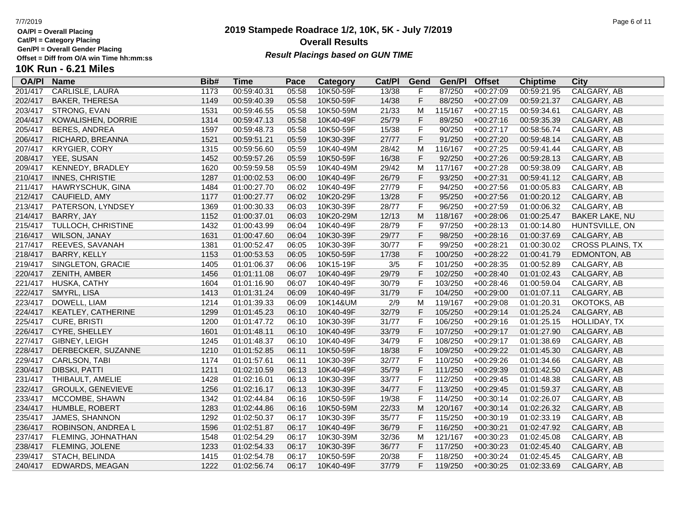**Cat/Pl = Category Placing**

**Gen/Pl = Overall Gender Placing**

**10K Run - 6.21 Miles**

### **2019 Stampede Roadrace 1/2, 10K, 5K - July 7/2019** 7/7/2019 Page 6 of 11 **Overall Results Result Placings based on GUN TIME**

201/417 CARLISLE, LAURA 1173 00:59:40.31 05:58 10K50-59F 13/38 F 87/250 +00:27:09 00:59:21.95 CALGARY, AB 202/417 BAKER, THERESA 1149 00:59:40.39 05:58 10K50-59F 14/38 F 88/250 +00:27:09 00:59:21.37 CALGARY, AB

**Pace Category Cat/PI Gend Gen/PI Offset Chiptime City**<br>05:58 10K50-59F 13/38 F 87/250 +00:27:09 00:59:21.95 CALGARY, AB

| 203/417 | STRONG, EVAN            | 1531 | 00:59:46.55 | 05:58 | 10K50-59M | 21/33  | м  | 115/167 | $+00:27:15$ | 00:59:34.61 | CALGARY, AB            |
|---------|-------------------------|------|-------------|-------|-----------|--------|----|---------|-------------|-------------|------------------------|
| 204/417 | KOWALISHEN, DORRIE      | 1314 | 00:59:47.13 | 05:58 | 10K40-49F | 25/79  | F. | 89/250  | $+00:27:16$ | 00:59:35.39 | CALGARY, AB            |
| 205/417 | BERES, ANDREA           | 1597 | 00:59:48.73 | 05:58 | 10K50-59F | 15/38  | F. | 90/250  | $+00:27:17$ | 00:58:56.74 | CALGARY, AB            |
| 206/417 | RICHARD, BREANNA        | 1521 | 00:59:51.21 | 05:59 | 10K30-39F | 27/77  | F. | 91/250  | $+00:27:20$ | 00:59:48.14 | CALGARY, AB            |
| 207/417 | <b>KRYGIER, CORY</b>    | 1315 | 00:59:56.60 | 05:59 | 10K40-49M | 28/42  | м  | 116/167 | $+00:27:25$ | 00:59:41.44 | CALGARY, AB            |
| 208/417 | YEE, SUSAN              | 1452 | 00:59:57.26 | 05:59 | 10K50-59F | 16/38  | F. | 92/250  | $+00:27:26$ | 00:59:28.13 | CALGARY, AB            |
| 209/417 | <b>KENNEDY, BRADLEY</b> | 1620 | 00:59:59.58 | 05:59 | 10K40-49M | 29/42  | м  | 117/167 | +00:27:28   | 00:59:38.09 | CALGARY, AB            |
| 210/417 | <b>INNES, CHRISTIE</b>  | 1287 | 01:00:02.53 | 06:00 | 10K40-49F | 26/79  | F. | 93/250  | $+00:27:31$ | 00:59:41.12 | CALGARY, AB            |
| 211/417 | HAWRYSCHUK, GINA        | 1484 | 01:00:27.70 | 06:02 | 10K40-49F | 27/79  | F. | 94/250  | +00:27:56   | 01:00:05.83 | CALGARY, AB            |
| 212/417 | CAUFIELD, AMY           | 1177 | 01:00:27.77 | 06:02 | 10K20-29F | 13/28  | F. | 95/250  | $+00:27:56$ | 01:00:20.12 | CALGARY, AB            |
| 213/417 | PATERSON, LYNDSEY       | 1369 | 01:00:30.33 | 06:03 | 10K30-39F | 28/77  | F. | 96/250  | $+00:27:59$ | 01:00:06.32 | CALGARY, AB            |
| 214/417 | BARRY, JAY              | 1152 | 01:00:37.01 | 06:03 | 10K20-29M | 12/13  | м  | 118/167 | $+00:28:06$ | 01:00:25.47 | <b>BAKER LAKE, NU</b>  |
| 215/417 | TULLOCH, CHRISTINE      | 1432 | 01:00:43.99 | 06:04 | 10K40-49F | 28/79  | F. | 97/250  | $+00:28:13$ | 01:00:14.80 | HUNTSVILLE, ON         |
| 216/417 | <b>WILSON, JANAY</b>    | 1631 | 01:00:47.60 | 06:04 | 10K30-39F | 29/77  | F  | 98/250  | $+00:28:16$ | 01:00:37.69 | CALGARY, AB            |
| 217/417 | REEVES, SAVANAH         | 1381 | 01:00:52.47 | 06:05 | 10K30-39F | 30/77  | F. | 99/250  | $+00:28:21$ | 01:00:30.02 | <b>CROSS PLAINS, 7</b> |
| 218/417 | <b>BARRY, KELLY</b>     | 1153 | 01:00:53.53 | 06:05 | 10K50-59F | 17/38  |    | 100/250 | $+00:28:22$ | 01:00:41.79 | <b>EDMONTON, AB</b>    |
| 219/417 | SINGLETON, GRACIE       | 1405 | 01:01:06.37 | 06:06 | 10K15-19F | 3/5    |    | 101/250 | $+00:28:35$ | 01:00:52.89 | CALGARY, AB            |
| 220/417 | ZENITH, AMBER           | 1456 | 01:01:11.08 | 06:07 | 10K40-49F | 29/79  | F. | 102/250 | $+00:28:40$ | 01:01:02.43 | CALGARY, AB            |
| 221/417 | HUSKA, CATHY            | 1604 | 01:01:16.90 | 06:07 | 10K40-49F | 30/79  | F. | 103/250 | +00:28:46   | 01:00:59.04 | CALGARY, AB            |
| 222/417 | SMYRL, LISA             | 1413 | 01:01:31.24 | 06:09 | 10K40-49F | 31/79  | F. | 104/250 | $+00:29:00$ | 01:01:07.11 | CALGARY, AB            |
|         |                         |      |             |       |           | $\sim$ |    |         |             |             |                        |

**OA/Pl Name Bib# Time Category Cat/Pl Gen/Pl**

| 216/417 | <u>VVILSUN, JANAY</u>    | 1631 | 01.00.47.60 | <b>00:04</b> | 10K30-39F | 29/77 | F. | 98/250  | <b>+</b> 00.28.16 | 01:00:37.69 | <b>CALGARY, AB</b>      |
|---------|--------------------------|------|-------------|--------------|-----------|-------|----|---------|-------------------|-------------|-------------------------|
| 217/417 | REEVES, SAVANAH          | 1381 | 01:00:52.47 | 06:05        | 10K30-39F | 30/77 | F. | 99/250  | $+00:28:21$       | 01:00:30.02 | <b>CROSS PLAINS, TX</b> |
| 218/417 | BARRY, KELLY             | 1153 | 01:00:53.53 | 06:05        | 10K50-59F | 17/38 | F  | 100/250 | $+00:28:22$       | 01:00:41.79 | EDMONTON, AB            |
| 219/417 | SINGLETON, GRACIE        | 1405 | 01:01:06.37 | 06:06        | 10K15-19F | 3/5   | F. | 101/250 | $+00:28:35$       | 01:00:52.89 | CALGARY, AB             |
| 220/417 | ZENITH, AMBER            | 1456 | 01:01:11.08 | 06:07        | 10K40-49F | 29/79 | F  | 102/250 | $+00:28:40$       | 01:01:02.43 | CALGARY, AB             |
| 221/417 | HUSKA, CATHY             | 1604 | 01:01:16.90 | 06:07        | 10K40-49F | 30/79 | F  | 103/250 | +00:28:46         | 01:00:59.04 | CALGARY, AB             |
| 222/417 | SMYRL, LISA              | 1413 | 01:01:31.24 | 06:09        | 10K40-49F | 31/79 | F. | 104/250 | $+00:29:00$       | 01:01:07.11 | CALGARY, AB             |
| 223/417 | DOWELL, LIAM             | 1214 | 01:01:39.33 | 06:09        | 10K14&UM  | 2/9   | м  | 119/167 | +00:29:08         | 01:01:20.31 | OKOTOKS, AB             |
| 224/417 | KEATLEY, CATHERINE       | 1299 | 01:01:45.23 | 06:10        | 10K40-49F | 32/79 | F  | 105/250 | $+00:29:14$       | 01:01:25.24 | CALGARY, AB             |
| 225/417 | CURE, BRISTI             | 1200 | 01:01:47.72 | 06:10        | 10K30-39F | 31/77 | F. | 106/250 | $+00:29:16$       | 01:01:25.15 | HOLLIDAY, TX            |
| 226/417 | CYRE, SHELLEY            | 1601 | 01:01:48.11 | 06:10        | 10K40-49F | 33/79 | F  | 107/250 | $+00:29:17$       | 01:01:27.90 | CALGARY, AB             |
| 227/417 | GIBNEY, LEIGH            | 1245 | 01:01:48.37 | 06:10        | 10K40-49F | 34/79 | F. | 108/250 | +00:29:17         | 01:01:38.69 | CALGARY, AB             |
| 228/417 | DERBECKER, SUZANNE       | 1210 | 01:01:52.85 | 06:11        | 10K50-59F | 18/38 | F  | 109/250 | $+00:29:22$       | 01:01:45.30 | CALGARY, AB             |
| 229/417 | CARLSON, TABI            | 1174 | 01:01:57.61 | 06:11        | 10K30-39F | 32/77 | F  | 110/250 | +00:29:26         | 01:01:34.66 | CALGARY, AB             |
| 230/417 | DIBSKI, PATTI            | 1211 | 01:02:10.59 | 06:13        | 10K40-49F | 35/79 | F. | 111/250 | $+00:29:39$       | 01:01:42.50 | CALGARY, AB             |
| 231/417 | THIBAULT, AMELIE         | 1428 | 01:02:16.01 | 06:13        | 10K30-39F | 33/77 | F  | 112/250 | $+00:29:45$       | 01:01:48.38 | CALGARY, AB             |
| 232/417 | <b>GROULX, GENEVIEVE</b> | 1256 | 01:02:16.17 | 06:13        | 10K30-39F | 34/77 | F. | 113/250 | $+00:29:45$       | 01:01:59.37 | CALGARY, AB             |
| 233/417 | MCCOMBE, SHAWN           | 1342 | 01:02:44.84 | 06:16        | 10K50-59F | 19/38 | F. | 114/250 | $+00:30:14$       | 01:02:26.07 | CALGARY, AB             |
| 234/417 | <b>HUMBLE, ROBERT</b>    | 1283 | 01:02:44.86 | 06:16        | 10K50-59M | 22/33 | М  | 120/167 | $+00:30:14$       | 01:02:26.32 | CALGARY, AB             |
| 235/417 | JAMES, SHANNON           | 1292 | 01:02:50.37 | 06:17        | 10K30-39F | 35/77 | F. | 115/250 | $+00:30:19$       | 01:02:33.19 | CALGARY, AB             |
| 236/417 | ROBINSON, ANDREA L       | 1596 | 01:02:51.87 | 06:17        | 10K40-49F | 36/79 | F. | 116/250 | $+00:30:21$       | 01:02:47.92 | CALGARY, AB             |
| 237/417 | FLEMING, JOHNATHAN       | 1548 | 01:02:54.29 | 06:17        | 10K30-39M | 32/36 | М  | 121/167 | $+00:30:23$       | 01:02:45.08 | CALGARY, AB             |
| 238/417 | FLEMING, JOLENE          | 1233 | 01:02:54.33 | 06:17        | 10K30-39F | 36/77 | F. | 117/250 | $+00:30:23$       | 01:02:45.40 | CALGARY, AB             |
| 239/417 | STACH, BELINDA           | 1415 | 01:02:54.78 | 06:17        | 10K50-59F | 20/38 | F. | 118/250 | $+00:30:24$       | 01:02:45.45 | CALGARY, AB             |

240/417 EDWARDS, MEAGAN 1222 01:02:56.74 06:17 10K40-49F 37/79 F 119/250 +00:30:25 01:02:33.69 CALGARY, AB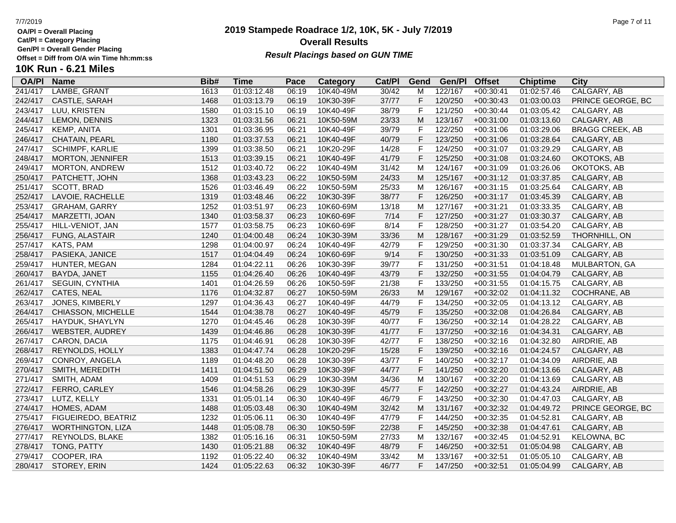**Cat/Pl = Category Placing**

**Gen/Pl = Overall Gender Placing**

### **2019 Stampede Roadrace 1/2, 10K, 5K - July 7/2019** 7/7/2019 Page 7 of 11 **Overall Results Result Placings based on GUN TIME**

| <b>OA/PI</b> | <b>Name</b>              | Bib# | Time        | Pace  | <b>Category</b> | Cat/PI | Gend | Gen/Pl  | <b>Offset</b> | <b>Chiptime</b> | City                   |
|--------------|--------------------------|------|-------------|-------|-----------------|--------|------|---------|---------------|-----------------|------------------------|
| 241/417      | LAMBE, GRANT             | 1613 | 01:03:12.48 | 06:19 | 10K40-49M       | 30/42  | M    | 122/167 | $+00:30:41$   | 01:02:57.46     | CALGARY, AB            |
| 242/417      | CASTLE, SARAH            | 1468 | 01:03:13.79 | 06:19 | 10K30-39F       | 37/77  | F    | 120/250 | $+00:30:43$   | 01:03:00.03     | PRINCE GEORGE, BC      |
| 243/417      | LUU, KRISTEN             | 1580 | 01:03:15.10 | 06:19 | 10K40-49F       | 38/79  | F    | 121/250 | $+00:30:44$   | 01:03:05.42     | CALGARY, AB            |
| 244/417      | LEMON, DENNIS            | 1323 | 01:03:31.56 | 06:21 | 10K50-59M       | 23/33  | M    | 123/167 | $+00:31:00$   | 01:03:13.60     | CALGARY, AB            |
| 245/417      | <b>KEMP, ANITA</b>       | 1301 | 01:03:36.95 | 06:21 | 10K40-49F       | 39/79  | F    | 122/250 | $+00:31:06$   | 01:03:29.06     | <b>BRAGG CREEK, AB</b> |
| 246/417      | CHATAIN, PEARL           | 1180 | 01:03:37.53 | 06:21 | 10K40-49F       | 40/79  | F    | 123/250 | $+00:31:06$   | 01:03:28.64     | CALGARY, AB            |
| 247/417      | SCHIMPF, KARLIE          | 1399 | 01:03:38.50 | 06:21 | 10K20-29F       | 14/28  | F    | 124/250 | $+00:31:07$   | 01:03:29.29     | CALGARY, AB            |
| 248/417      | MORTON, JENNIFER         | 1513 | 01:03:39.15 | 06:21 | 10K40-49F       | 41/79  | F    | 125/250 | $+00:31:08$   | 01:03:24.60     | OKOTOKS, AB            |
| 249/417      | MORTON, ANDREW           | 1512 | 01:03:40.72 | 06:22 | 10K40-49M       | 31/42  | M    | 124/167 | $+00:31:09$   | 01:03:26.06     | OKOTOKS, AB            |
| 250/417      | PATCHETT, JOHN           | 1368 | 01:03:43.23 | 06:22 | 10K50-59M       | 24/33  | M    | 125/167 | $+00:31:12$   | 01:03:37.85     | CALGARY, AB            |
| 251/417      | SCOTT, BRAD              | 1526 | 01:03:46.49 | 06:22 | 10K50-59M       | 25/33  | M    | 126/167 | $+00:31:15$   | 01:03:25.64     | CALGARY, AB            |
| 252/417      | LAVOIE, RACHELLE         | 1319 | 01:03:48.46 | 06:22 | 10K30-39F       | 38/77  | F    | 126/250 | $+00:31:17$   | 01:03:45.39     | CALGARY, AB            |
| 253/417      | <b>GRAHAM, GARRY</b>     | 1252 | 01:03:51.97 | 06:23 | 10K60-69M       | 13/18  | M    | 127/167 | $+00:31:21$   | 01:03:33.35     | CALGARY, AB            |
| 254/417      | MARZETTI, JOAN           | 1340 | 01:03:58.37 | 06:23 | 10K60-69F       | 7/14   | F    | 127/250 | $+00:31:27$   | 01:03:30.37     | CALGARY, AB            |
| 255/417      | HILL-VENIOT, JAN         | 1577 | 01:03:58.75 | 06:23 | 10K60-69F       | 8/14   | F    | 128/250 | $+00:31:27$   | 01:03:54.20     | CALGARY, AB            |
| 256/417      | FUNG, ALASTAIR           | 1240 | 01:04:00.48 | 06:24 | 10K30-39M       | 33/36  | M    | 128/167 | $+00:31:29$   | 01:03:52.59     | THORNHILL, ON          |
| 257/417      | KATS, PAM                | 1298 | 01:04:00.97 | 06:24 | 10K40-49F       | 42/79  | F    | 129/250 | $+00:31:30$   | 01:03:37.34     | CALGARY, AB            |
| 258/417      | PASIEKA, JANICE          | 1517 | 01:04:04.49 | 06:24 | 10K60-69F       | 9/14   | F    | 130/250 | $+00:31:33$   | 01:03:51.09     | CALGARY, AB            |
| 259/417      | HUNTER, MEGAN            | 1284 | 01:04:22.11 | 06:26 | 10K30-39F       | 39/77  | F    | 131/250 | $+00:31:51$   | 01:04:18.48     | MULBARTON, GA          |
| 260/417      | BAYDA, JANET             | 1155 | 01:04:26.40 | 06:26 | 10K40-49F       | 43/79  | F    | 132/250 | $+00:31:55$   | 01:04:04.79     | CALGARY, AB            |
| 261/417      | SEGUIN, CYNTHIA          | 1401 | 01:04:26.59 | 06:26 | 10K50-59F       | 21/38  | F    | 133/250 | $+00:31:55$   | 01:04:15.75     | CALGARY, AB            |
| 262/417      | CATES, NEAL              | 1176 | 01:04:32.87 | 06:27 | 10K50-59M       | 26/33  | M    | 129/167 | $+00:32:02$   | 01:04:11.32     | <b>COCHRANE, AB</b>    |
| 263/417      | JONES, KIMBERLY          | 1297 | 01:04:36.43 | 06:27 | 10K40-49F       | 44/79  | F    | 134/250 | $+00:32:05$   | 01:04:13.12     | CALGARY, AB            |
| 264/417      | CHIASSON, MICHELLE       | 1544 | 01:04:38.78 | 06:27 | 10K40-49F       | 45/79  |      | 135/250 | $+00:32:08$   | 01:04:26.84     | CALGARY, AB            |
| 265/417      | HAYDUK, SHAYLYN          | 1270 | 01:04:45.46 | 06:28 | 10K30-39F       | 40/77  | F    | 136/250 | $+00:32:14$   | 01:04:28.22     | CALGARY, AB            |
| 266/417      | <b>WEBSTER, AUDREY</b>   | 1439 | 01:04:46.86 | 06:28 | 10K30-39F       | 41/77  | F    | 137/250 | $+00:32:16$   | 01:04:34.31     | CALGARY, AB            |
| 267/417      | CARON, DACIA             | 1175 | 01:04:46.91 | 06:28 | 10K30-39F       | 42/77  | F    | 138/250 | $+00:32:16$   | 01:04:32.80     | AIRDRIE, AB            |
| 268/417      | REYNOLDS, HOLLY          | 1383 | 01:04:47.74 | 06:28 | 10K20-29F       | 15/28  | F    | 139/250 | $+00:32:16$   | 01:04:24.57     | CALGARY, AB            |
| 269/417      | CONROY, ANGELA           | 1189 | 01:04:48.20 | 06:28 | 10K30-39F       | 43/77  | F    | 140/250 | $+00:32:17$   | 01:04:34.09     | AIRDRIE, AB            |
| 270/417      | SMITH, MEREDITH          | 1411 | 01:04:51.50 | 06:29 | 10K30-39F       | 44/77  | F    | 141/250 | $+00:32:20$   | 01:04:13.66     | CALGARY, AB            |
| 271/417      | SMITH, ADAM              | 1409 | 01:04:51.53 | 06:29 | 10K30-39M       | 34/36  | M    | 130/167 | $+00:32:20$   | 01:04:13.69     | CALGARY, AB            |
| 272/417      | FERRO, CARLEY            | 1546 | 01:04:58.26 | 06:29 | 10K30-39F       | 45/77  | F    | 142/250 | $+00:32:27$   | 01:04:43.24     | AIRDRIE, AB            |
| 273/417      | LUTZ, KELLY              | 1331 | 01:05:01.14 | 06:30 | 10K40-49F       | 46/79  | F    | 143/250 | $+00:32:30$   | 01:04:47.03     | CALGARY, AB            |
| 274/417      | HOMES, ADAM              | 1488 | 01:05:03.48 | 06:30 | 10K40-49M       | 32/42  | M    | 131/167 | $+00:32:32$   | 01:04:49.72     | PRINCE GEORGE, BC      |
| 275/417      | FIGUEIREDO, BEATRIZ      | 1232 | 01:05:06.11 | 06:30 | 10K40-49F       | 47/79  | F    | 144/250 | $+00:32:35$   | 01:04:52.81     | CALGARY, AB            |
| 276/417      | <b>WORTHINGTON, LIZA</b> | 1448 | 01:05:08.78 | 06:30 | 10K50-59F       | 22/38  | F    | 145/250 | $+00:32:38$   | 01:04:47.61     | CALGARY, AB            |
| 277/417      | REYNOLDS, BLAKE          | 1382 | 01:05:16.16 | 06:31 | 10K50-59M       | 27/33  | M    | 132/167 | $+00:32:45$   | 01:04:52.91     | KELOWNA, BC            |
| 278/417      | TONG, PATTY              | 1430 | 01:05:21.88 | 06:32 | 10K40-49F       | 48/79  | F    | 146/250 | $+00:32:51$   | 01:05:04.98     | CALGARY, AB            |
| 279/417      | COOPER, IRA              | 1192 | 01:05:22.40 | 06:32 | 10K40-49M       | 33/42  | M    | 133/167 | $+00:32:51$   | 01:05:05.10     | CALGARY, AB            |
| 280/417      | STOREY, ERIN             | 1424 | 01:05:22.63 | 06:32 | 10K30-39F       | 46/77  | F.   | 147/250 | $+00:32:51$   | 01:05:04.99     | CALGARY, AB            |
|              |                          |      |             |       |                 |        |      |         |               |                 |                        |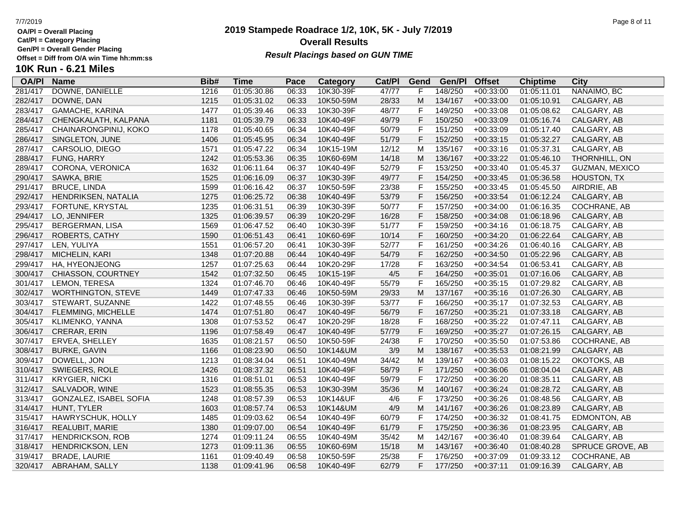**Cat/Pl = Category Placing**

**Gen/Pl = Overall Gender Placing**

## **2019 Stampede Roadrace 1/2, 10K, 5K - July 7/2019** 7/7/2019 Page 8 of 11 **Overall Results** Gen/PI = Overall Gender Placing<br>Offset = Diff from O/A win Time hh:mm:ss *Result Placings based on GUN TIME*

|         | Offset = Diff from O/A win Time hh:mm:ss |      |             |       | <b>Result Flatings based on Gon Time</b> |        |      |         |               |                 |                |
|---------|------------------------------------------|------|-------------|-------|------------------------------------------|--------|------|---------|---------------|-----------------|----------------|
|         | <b>10K Run - 6.21 Miles</b>              |      |             |       |                                          |        |      |         |               |                 |                |
|         | OA/PI Name                               | Bib# | Time        | Pace  | Category                                 | Cat/PI | Gend | Gen/Pl  | <b>Offset</b> | <b>Chiptime</b> | <b>City</b>    |
| 281/417 | DOWNE, DANIELLE                          | 1216 | 01:05:30.86 | 06:33 | 10K30-39F                                | 47/77  |      | 148/250 | +00:33:00     | 01:05:11.01     | NANAIMO. BC    |
| 282/417 | DOWNE, DAN                               | 1215 | 01:05:31.02 | 06:33 | 10K50-59M                                | 28/33  | M    | 134/167 | $+00:33:00$   | 01:05:10.91     | CALGARY, AB    |
| 283/417 | GAMACHE. KARINA                          | 1477 | 01:05:39.46 | 06:33 | 10K30-39F                                | 48/77  |      | 149/250 | +00:33:08     | 01:05:08.62     | CALGARY, AB    |
|         | 284/417 CHENGKALATH, KALPANA             | 1181 | 01:05:39.79 | 06:33 | 10K40-49F                                | 49/79  | н.   | 150/250 | $+00:33:09$   | 01:05:16.74     | CALGARY, AB    |
|         | 285/417 CHAINARONGPINIJ, KOKO            | 1178 | 01:05:40.65 | 06:34 | 10K40-49F                                | 50/79  | ►    | 151/250 | +00:33:09     | 01:05:17.40     | CALGARY, AB    |
| 286/417 | SINGLETON, JUNE                          | 1406 | 01:05:45.95 | 06:34 | 10K40-49F                                | 51/79  | F.   | 152/250 | $+00:33:15$   | 01:05:32.27     | CALGARY, AB    |
| 287/417 | CARSOLIO, DIEGO                          | 1571 | 01:05:47.22 | 06:34 | 10K15-19M                                | 12/12  | м    | 135/167 | $+00:33:16$   | 01:05:37.31     | CALGARY, AB    |
| 288/417 | FUNG. HARRY                              | 1242 | 01:05:53.36 | 06:35 | 10K60-69M                                | 14/18  | M    | 136/167 | $+00:33:22$   | 01:05:46.10     | THORNHILL, ON  |
| 289/417 | CORONA. VERONICA                         | 1632 | 01:06:11.64 | 06:37 | 10K40-49F                                | 52/79  |      | 153/250 | +00:33:40     | 01:05:45.37     | GUZMAN, MEXICO |
|         | 290/417 SAWKA, BRIE                      | 1525 | 01:06:16.09 | 06:37 | 10K30-39F                                | 49/77  |      | 154/250 | $+00:33:45$   | 01:05:36.58     | HOUSTON, TX    |

| 284/417 | CHENGKALATH, KALPANA    | 1181 | 01:05:39.79 | 06:33 | 10K40-49F | 49/79 | F           | 150/250 | $+00:33:09$ | 01:05:16.74 | CALGARY, AB      |
|---------|-------------------------|------|-------------|-------|-----------|-------|-------------|---------|-------------|-------------|------------------|
| 285/417 | CHAINARONGPINIJ, KOKO   | 1178 | 01:05:40.65 | 06:34 | 10K40-49F | 50/79 | F           | 151/250 | $+00:33:09$ | 01:05:17.40 | CALGARY, AB      |
| 286/417 | SINGLETON, JUNE         | 1406 | 01:05:45.95 | 06:34 | 10K40-49F | 51/79 | F           | 152/250 | $+00:33:15$ | 01:05:32.27 | CALGARY, AB      |
| 287/417 | CARSOLIO, DIEGO         | 1571 | 01:05:47.22 | 06:34 | 10K15-19M | 12/12 | M           | 135/167 | $+00:33:16$ | 01:05:37.31 | CALGARY, AB      |
| 288/417 | <b>FUNG, HARRY</b>      | 1242 | 01:05:53.36 | 06:35 | 10K60-69M | 14/18 | M           | 136/167 | $+00:33:22$ | 01:05:46.10 | THORNHILL, ON    |
| 289/417 | CORONA, VERONICA        | 1632 | 01:06:11.64 | 06:37 | 10K40-49F | 52/79 | F           | 153/250 | $+00:33:40$ | 01:05:45.37 | GUZMAN, MEXICO   |
| 290/417 | SAWKA, BRIE             | 1525 | 01:06:16.09 | 06:37 | 10K30-39F | 49/77 | $\mathsf F$ | 154/250 | $+00:33:45$ | 01:05:36.58 | HOUSTON, TX      |
| 291/417 | <b>BRUCE, LINDA</b>     | 1599 | 01:06:16.42 | 06:37 | 10K50-59F | 23/38 | $\mathsf F$ | 155/250 | $+00:33:45$ | 01:05:45.50 | AIRDRIE, AB      |
| 292/417 | HENDRIKSEN, NATALIA     | 1275 | 01:06:25.72 | 06:38 | 10K40-49F | 53/79 | $\mathsf F$ | 156/250 | $+00:33:54$ | 01:06:12.24 | CALGARY, AB      |
| 293/417 | FORTUNE, KRYSTAL        | 1235 | 01:06:31.51 | 06:39 | 10K30-39F | 50/77 | F           | 157/250 | $+00:34:00$ | 01:06:16.35 | COCHRANE, AB     |
| 294/417 | LO, JENNIFER            | 1325 | 01:06:39.57 | 06:39 | 10K20-29F | 16/28 | $\mathsf F$ | 158/250 | $+00:34:08$ | 01:06:18.96 | CALGARY, AB      |
| 295/417 | BERGERMAN, LISA         | 1569 | 01:06:47.52 | 06:40 | 10K30-39F | 51/77 | F           | 159/250 | $+00:34:16$ | 01:06:18.75 | CALGARY, AB      |
| 296/417 | ROBERTS, CATHY          | 1590 | 01:06:51.43 | 06:41 | 10K60-69F | 10/14 | F           | 160/250 | $+00:34:20$ | 01:06:22.64 | CALGARY, AB      |
| 297/417 | LEN, YULIYA             | 1551 | 01:06:57.20 | 06:41 | 10K30-39F | 52/77 | $\mathsf F$ | 161/250 | $+00:34:26$ | 01:06:40.16 | CALGARY, AB      |
| 298/417 | MICHELIN, KARI          | 1348 | 01:07:20.88 | 06:44 | 10K40-49F | 54/79 | $\mathsf F$ | 162/250 | $+00:34:50$ | 01:05:22.96 | CALGARY, AB      |
| 299/417 | HA, HYEONJEONG          | 1257 | 01:07:25.63 | 06:44 | 10K20-29F | 17/28 | $\mathsf F$ | 163/250 | $+00:34:54$ | 01:06:53.41 | CALGARY, AB      |
| 300/417 | CHIASSON, COURTNEY      | 1542 | 01:07:32.50 | 06:45 | 10K15-19F | 4/5   | $\mathsf F$ | 164/250 | $+00:35:01$ | 01:07:16.06 | CALGARY, AB      |
| 301/417 | LEMON, TERESA           | 1324 | 01:07:46.70 | 06:46 | 10K40-49F | 55/79 | $\mathsf F$ | 165/250 | $+00:35:15$ | 01:07:29.82 | CALGARY, AB      |
| 302/417 | WORTHINGTON, STEVE      | 1449 | 01:07:47.33 | 06:46 | 10K50-59M | 29/33 | M           | 137/167 | $+00:35:16$ | 01:07:26.30 | CALGARY, AB      |
| 303/417 | STEWART, SUZANNE        | 1422 | 01:07:48.55 | 06:46 | 10K30-39F | 53/77 | F           | 166/250 | $+00:35:17$ | 01:07:32.53 | CALGARY, AB      |
| 304/417 | FLEMMING, MICHELLE      | 1474 | 01:07:51.80 | 06:47 | 10K40-49F | 56/79 | $\mathsf F$ | 167/250 | $+00:35:21$ | 01:07:33.18 | CALGARY, AB      |
| 305/417 | KLIMENKO, YANNA         | 1308 | 01:07:53.52 | 06:47 | 10K20-29F | 18/28 | $\mathsf F$ | 168/250 | $+00:35:22$ | 01:07:47.11 | CALGARY, AB      |
| 306/417 | <b>CRERAR, ERIN</b>     | 1196 | 01:07:58.49 | 06:47 | 10K40-49F | 57/79 | F           | 169/250 | $+00:35:27$ | 01:07:26.15 | CALGARY, AB      |
| 307/417 | ERVEA, SHELLEY          | 1635 | 01:08:21.57 | 06:50 | 10K50-59F | 24/38 | F           | 170/250 | $+00:35:50$ | 01:07:53.86 | COCHRANE, AB     |
| 308/417 | <b>BURKE, GAVIN</b>     | 1166 | 01:08:23.90 | 06:50 | 10K14&UM  | 3/9   | M           | 138/167 | $+00:35:53$ | 01:08:21.99 | CALGARY, AB      |
| 309/417 | DOWELL, JON             | 1213 | 01:08:34.04 | 06:51 | 10K40-49M | 34/42 | M           | 139/167 | $+00:36:03$ | 01:08:15.22 | OKOTOKS, AB      |
| 310/417 | SWIEGERS, ROLE          | 1426 | 01:08:37.32 | 06:51 | 10K40-49F | 58/79 | F           | 171/250 | $+00:36:06$ | 01:08:04.04 | CALGARY, AB      |
| 311/417 | <b>KRYGIER, NICKI</b>   | 1316 | 01:08:51.01 | 06:53 | 10K40-49F | 59/79 | F           | 172/250 | $+00:36:20$ | 01:08:35.11 | CALGARY, AB      |
| 312/417 | SALVADOR, WINE          | 1523 | 01:08:55.35 | 06:53 | 10K30-39M | 35/36 | M           | 140/167 | $+00:36:24$ | 01:08:28.72 | CALGARY, AB      |
| 313/417 | GONZALEZ, ISABEL SOFIA  | 1248 | 01:08:57.39 | 06:53 | 10K14&UF  | 4/6   | F           | 173/250 | $+00:36:26$ | 01:08:48.56 | CALGARY, AB      |
| 314/417 | HUNT, TYLER             | 1603 | 01:08:57.74 | 06:53 | 10K14&UM  | 4/9   | M           | 141/167 | $+00:36:26$ | 01:08:23.89 | CALGARY, AB      |
| 315/417 | HAWRYSCHUK, HOLLY       | 1485 | 01:09:03.62 | 06:54 | 10K40-49F | 60/79 | F           | 174/250 | $+00:36:32$ | 01:08:41.75 | EDMONTON, AB     |
| 316/417 | REALUBIT, MARIE         | 1380 | 01:09:07.00 | 06:54 | 10K40-49F | 61/79 | F           | 175/250 | $+00:36:36$ | 01:08:23.95 | CALGARY, AB      |
| 317/417 | <b>HENDRICKSON, ROB</b> | 1274 | 01:09:11.24 | 06:55 | 10K40-49M | 35/42 | M           | 142/167 | $+00:36:40$ | 01:08:39.64 | CALGARY, AB      |
| 318/417 | <b>HENDRICKSON, LEN</b> | 1273 | 01:09:11.36 | 06:55 | 10K60-69M | 15/18 | M           | 143/167 | $+00:36:40$ | 01:08:40.28 | SPRUCE GROVE, AB |
| 319/417 | BRADE, LAURIE           | 1161 | 01:09:40.49 | 06:58 | 10K50-59F | 25/38 | F           | 176/250 | $+00:37:09$ | 01:09:33.12 | COCHRANE, AB     |
| 320/417 | ABRAHAM, SALLY          | 1138 | 01:09:41.96 | 06:58 | 10K40-49F | 62/79 | F           | 177/250 | $+00:37:11$ | 01:09:16.39 | CALGARY, AB      |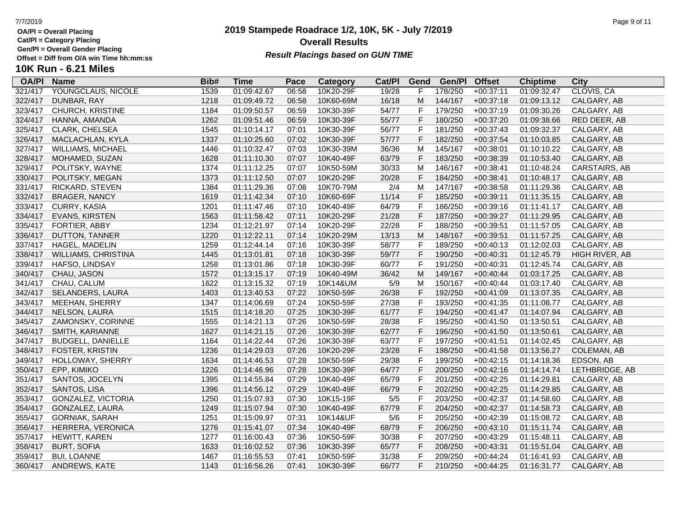**Cat/Pl = Category Placing**

**Gen/Pl = Overall Gender Placing**

### **2019 Stampede Roadrace 1/2, 10K, 5K - July 7/2019** 7/7/2019 Page 9 of 11 **Overall Results Result Placings based on GUN TIME**

| <b>OA/PI</b> | <b>Name</b>                | Bib# | Time        | Pace  | Category  | Cat/PI | Gend         | Gen/Pl  | <b>Offset</b> | <b>Chiptime</b> | City               |
|--------------|----------------------------|------|-------------|-------|-----------|--------|--------------|---------|---------------|-----------------|--------------------|
| 321/417      | YOUNGCLAUS, NICOLE         | 1539 | 01:09:42.67 | 06:58 | 10K20-29F | 19/28  | F            | 178/250 | $+00:37:11$   | 01:09:32.47     | CLOVIS, CA         |
| 322/417      | DUNBAR, RAY                | 1218 | 01:09:49.72 | 06:58 | 10K60-69M | 16/18  | M            | 144/167 | $+00:37:18$   | 01:09:13.12     | CALGARY, AB        |
| 323/417      | <b>CHURCH, KRISTINE</b>    | 1184 | 01:09:50.57 | 06:59 | 10K30-39F | 54/77  | F            | 179/250 | $+00:37:19$   | 01:09:30.26     | CALGARY, AB        |
| 324/417      | HANNA, AMANDA              | 1262 | 01:09:51.46 | 06:59 | 10K30-39F | 55/77  | F            | 180/250 | $+00:37:20$   | 01:09:38.66     | RED DEER, AB       |
| 325/417      | CLARK, CHELSEA             | 1545 | 01:10:14.17 | 07:01 | 10K30-39F | 56/77  | $\mathsf F$  | 181/250 | $+00:37:43$   | 01:09:32.37     | CALGARY, AB        |
| 326/417      | MACLACHLAN, KYLA           | 1337 | 01:10:25.60 | 07:02 | 10K30-39F | 57/77  | $\mathsf F$  | 182/250 | $+00:37:54$   | 01:10:03.85     | CALGARY, AB        |
| 327/417      | WILLIAMS, MICHAEL          | 1446 | 01:10:32.47 | 07:03 | 10K30-39M | 36/36  | M            | 145/167 | $+00:38:01$   | 01:10:10.22     | CALGARY, AB        |
| 328/417      | MOHAMED, SUZAN             | 1628 | 01:11:10.30 | 07:07 | 10K40-49F | 63/79  | $\mathsf{F}$ | 183/250 | $+00:38:39$   | 01:10:53.40     | CALGARY, AB        |
| 329/417      | POLITSKY, WAYNE            | 1374 | 01:11:12.25 | 07:07 | 10K50-59M | 30/33  | M            | 146/167 | $+00:38:41$   | 01:10:48.24     | CARSTAIRS, AB      |
| 330/417      | POLITSKY, MEGAN            | 1373 | 01:11:12.50 | 07:07 | 10K20-29F | 20/28  | $\mathsf F$  | 184/250 | $+00:38:41$   | 01:10:48.17     | CALGARY, AB        |
| 331/417      | RICKARD, STEVEN            | 1384 | 01:11:29.36 | 07:08 | 10K70-79M | 2/4    | M            | 147/167 | $+00:38:58$   | 01:11:29.36     | CALGARY, AB        |
| 332/417      | <b>BRAGER, NANCY</b>       | 1619 | 01:11:42.34 | 07:10 | 10K60-69F | 11/14  | F            | 185/250 | $+00:39:11$   | 01:11:35.15     | CALGARY, AB        |
| 333/417      | <b>CURRY, KASIA</b>        | 1201 | 01:11:47.46 | 07:10 | 10K40-49F | 64/79  | $\mathsf{F}$ | 186/250 | $+00:39:16$   | 01:11:41.17     | CALGARY, AB        |
| 334/417      | EVANS, KIRSTEN             | 1563 | 01:11:58.42 | 07:11 | 10K20-29F | 21/28  | $\mathsf F$  | 187/250 | $+00:39:27$   | 01:11:29.95     | CALGARY, AB        |
| 335/417      | FORTIER, ABBY              | 1234 | 01:12:21.97 | 07:14 | 10K20-29F | 22/28  | $\mathsf F$  | 188/250 | $+00:39:51$   | 01:11:57.05     | CALGARY, AB        |
| 336/417      | DUTTON, TANNER             | 1220 | 01:12:22.11 | 07:14 | 10K20-29M | 13/13  | M            | 148/167 | $+00:39:51$   | 01:11:57.25     | CALGARY, AB        |
| 337/417      | <b>HAGEL, MADELIN</b>      | 1259 | 01:12:44.14 | 07:16 | 10K30-39F | 58/77  | $\mathsf{F}$ | 189/250 | $+00:40:13$   | 01:12:02.03     | CALGARY, AB        |
| 338/417      | <b>WILLIAMS, CHRISTINA</b> | 1445 | 01:13:01.81 | 07:18 | 10K30-39F | 59/77  | $\mathsf F$  | 190/250 | $+00:40:31$   | 01:12:45.79     | HIGH RIVER, AB     |
| 339/417      | HAFSO, LINDSAY             | 1258 | 01:13:01.86 | 07:18 | 10K30-39F | 60/77  | $\mathsf{F}$ | 191/250 | $+00:40:31$   | 01:12:45.74     | CALGARY, AB        |
| 340/417      | CHAU, JASON                | 1572 | 01:13:15.17 | 07:19 | 10K40-49M | 36/42  | M            | 149/167 | $+00:40:44$   | 01:03:17.25     | CALGARY, AB        |
| 341/417      | CHAU, CALUM                | 1622 | 01:13:15.32 | 07:19 | 10K14&UM  | 5/9    | M            | 150/167 | $+00:40:44$   | 01:03:17.40     | CALGARY, AB        |
| 342/417      | SELANDERS, LAURA           | 1403 | 01:13:40.53 | 07:22 | 10K50-59F | 26/38  | $\mathsf F$  | 192/250 | $+00:41:09$   | 01:13:07.35     | CALGARY, AB        |
| 343/417      | MEEHAN, SHERRY             | 1347 | 01:14:06.69 | 07:24 | 10K50-59F | 27/38  | $\mathsf F$  | 193/250 | $+00:41:35$   | 01:11:08.77     | CALGARY, AB        |
| 344/417      | NELSON, LAURA              | 1515 | 01:14:18.20 | 07:25 | 10K30-39F | 61/77  | $\mathsf{F}$ | 194/250 | $+00:41:47$   | 01:14:07.94     | CALGARY, AB        |
| 345/417      | ZAMONSKY, CORINNE          | 1555 | 01:14:21.13 | 07:26 | 10K50-59F | 28/38  | F            | 195/250 | $+00:41:50$   | 01:13:50.51     | CALGARY, AB        |
| 346/417      | SMITH, KARIANNE            | 1627 | 01:14:21.15 | 07:26 | 10K30-39F | 62/77  | $\mathsf{F}$ | 196/250 | $+00:41:50$   | 01:13:50.61     | CALGARY, AB        |
| 347/417      | <b>BUDGELL, DANIELLE</b>   | 1164 | 01:14:22.44 | 07:26 | 10K30-39F | 63/77  | $\mathsf{F}$ | 197/250 | $+00:41:51$   | 01:14:02.45     | CALGARY, AB        |
| 348/417      | FOSTER, KRISTIN            | 1236 | 01:14:29.03 | 07:26 | 10K20-29F | 23/28  | $\mathsf F$  | 198/250 | $+00:41:58$   | 01:13:56.27     | <b>COLEMAN, AB</b> |
| 349/417      | HOLLOWAY, SHERRY           | 1634 | 01:14:46.53 | 07:28 | 10K50-59F | 29/38  | $\mathsf F$  | 199/250 | $+00:42:15$   | 01:14:18.36     | EDSON, AB          |
| 350/417      | EPP, KIMIKO                | 1226 | 01:14:46.96 | 07:28 | 10K30-39F | 64/77  | F            | 200/250 | $+00:42:16$   | 01:14:14.74     | LETHBRIDGE, AB     |
| 351/417      | SANTOS, JOCELYN            | 1395 | 01:14:55.84 | 07:29 | 10K40-49F | 65/79  | $\mathsf{F}$ | 201/250 | $+00:42:25$   | 01:14:29.81     | CALGARY, AB        |
| 352/417      | SANTOS, LISA               | 1396 | 01:14:56.12 | 07:29 | 10K40-49F | 66/79  | $\mathsf{F}$ | 202/250 | $+00:42:25$   | 01:14:29.85     | CALGARY, AB        |
| 353/417      | GONZALEZ, VICTORIA         | 1250 | 01:15:07.93 | 07:30 | 10K15-19F | $5/5$  | $\mathsf F$  | 203/250 | $+00:42:37$   | 01:14:58.60     | CALGARY, AB        |
| 354/417      | GONZALEZ, LAURA            | 1249 | 01:15:07.94 | 07:30 | 10K40-49F | 67/79  | F            | 204/250 | $+00:42:37$   | 01:14:58.73     | CALGARY, AB        |
| 355/417      | <b>GORNIAK, SARAH</b>      | 1251 | 01:15:09.97 | 07:31 | 10K14&UF  | 5/6    | $\mathsf{F}$ | 205/250 | $+00:42:39$   | 01:15:08.72     | CALGARY, AB        |
| 356/417      | HERRERA, VERONICA          | 1276 | 01:15:41.07 | 07:34 | 10K40-49F | 68/79  | F            | 206/250 | $+00:43:10$   | 01:15:11.74     | CALGARY, AB        |
| 357/417      | HEWITT, KAREN              | 1277 | 01:16:00.43 | 07:36 | 10K50-59F | 30/38  | $\mathsf{F}$ | 207/250 | $+00:43:29$   | 01:15:48.11     | CALGARY, AB        |
| 358/417      | <b>BURT, SOFIA</b>         | 1633 | 01:16:02.52 | 07:36 | 10K30-39F | 65/77  | $\mathsf F$  | 208/250 | $+00:43:31$   | 01:15:51.04     | CALGARY, AB        |
| 359/417      | <b>BUI, LOANNE</b>         | 1467 | 01:16:55.53 | 07:41 | 10K50-59F | 31/38  | $\mathsf{F}$ | 209/250 | $+00:44:24$   | 01:16:41.93     | CALGARY, AB        |
| 360/417      | ANDREWS, KATE              | 1143 | 01:16:56.26 | 07:41 | 10K30-39F | 66/77  | E            | 210/250 | $+00:44:25$   | 01:16:31.77     | CALGARY, AB        |
|              |                            |      |             |       |           |        |              |         |               |                 |                    |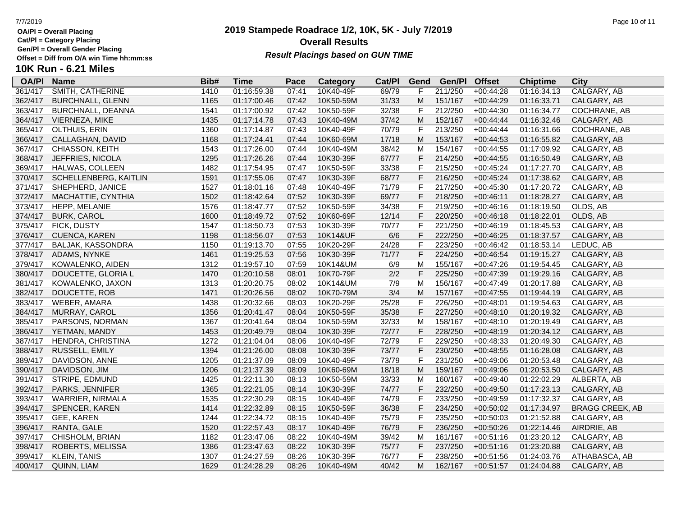**Cat/Pl = Category Placing**

**Gen/Pl = Overall Gender Placing**

### **2019 Stampede Roadrace 1/2, 10K, 5K - July 7/2019** 7/7/2019 Page 10 of 11 **Overall Results Result Placings based on GUN TIME**

| <b>OA/PI</b> | <b>Name</b>             | Bib# | Time        | Pace  | Category  | Cat/PI | Gend        | Gen/Pl  | <b>Offset</b> | <b>Chiptime</b> | City                   |
|--------------|-------------------------|------|-------------|-------|-----------|--------|-------------|---------|---------------|-----------------|------------------------|
| 361/417      | <b>SMITH, CATHERINE</b> | 1410 | 01:16:59.38 | 07:41 | 10K40-49F | 69/79  | F           | 211/250 | $+00:44:28$   | 01:16:34.13     | CALGARY, AB            |
| 362/417      | <b>BURCHNALL, GLENN</b> | 1165 | 01:17:00.46 | 07:42 | 10K50-59M | 31/33  | M           | 151/167 | $+00:44:29$   | 01:16:33.71     | CALGARY, AB            |
| 363/417      | BURCHNALL, DEANNA       | 1541 | 01:17:00.92 | 07:42 | 10K50-59F | 32/38  | F           | 212/250 | $+00:44:30$   | 01:16:34.77     | COCHRANE, AB           |
| 364/417      | VIERNEZA, MIKE          | 1435 | 01:17:14.78 | 07:43 | 10K40-49M | 37/42  | M           | 152/167 | $+00:44:44$   | 01:16:32.46     | CALGARY, AB            |
| 365/417      | OLTHUIS, ERIN           | 1360 | 01:17:14.87 | 07:43 | 10K40-49F | 70/79  | F           | 213/250 | $+00:44:44$   | 01:16:31.66     | COCHRANE, AB           |
| 366/417      | CALLAGHAN, DAVID        | 1168 | 01:17:24.41 | 07:44 | 10K60-69M | 17/18  | M           | 153/167 | $+00:44:53$   | 01:16:55.82     | CALGARY, AB            |
| 367/417      | CHIASSON, KEITH         | 1543 | 01:17:26.00 | 07:44 | 10K40-49M | 38/42  | M           | 154/167 | $+00:44:55$   | 01:17:09.92     | CALGARY, AB            |
| 368/417      | JEFFRIES, NICOLA        | 1295 | 01:17:26.26 | 07:44 | 10K30-39F | 67/77  | F           | 214/250 | $+00:44:55$   | 01:16:50.49     | CALGARY, AB            |
| 369/417      | HALWAS, COLLEEN         | 1482 | 01:17:54.95 | 07:47 | 10K50-59F | 33/38  | F           | 215/250 | $+00:45:24$   | 01:17:27.70     | CALGARY, AB            |
| 370/417      | SCHELLENBERG, KAITLIN   | 1591 | 01:17:55.06 | 07:47 | 10K30-39F | 68/77  | F           | 216/250 | $+00:45:24$   | 01:17:38.62     | CALGARY, AB            |
| 371/417      | SHEPHERD, JANICE        | 1527 | 01:18:01.16 | 07:48 | 10K40-49F | 71/79  | F           | 217/250 | $+00:45:30$   | 01:17:20.72     | CALGARY, AB            |
| 372/417      | MACHATTIE, CYNTHIA      | 1502 | 01:18:42.64 | 07:52 | 10K30-39F | 69/77  | F           | 218/250 | $+00:46:11$   | 01:18:28.27     | CALGARY, AB            |
| 373/417      | HEPP, MELANIE           | 1576 | 01:18:47.77 | 07:52 | 10K50-59F | 34/38  | F           | 219/250 | $+00:46:16$   | 01:18:19.50     | OLDS, AB               |
| 374/417      | <b>BURK, CAROL</b>      | 1600 | 01:18:49.72 | 07:52 | 10K60-69F | 12/14  | F           | 220/250 | $+00:46:18$   | 01:18:22.01     | OLDS, AB               |
| 375/417      | FICK, DUSTY             | 1547 | 01:18:50.73 | 07:53 | 10K30-39F | 70/77  | F           | 221/250 | $+00:46:19$   | 01:18:45.53     | CALGARY, AB            |
| 376/417      | <b>CUENCA, KAREN</b>    | 1198 | 01:18:56.07 | 07:53 | 10K14&UF  | 6/6    | $\mathsf F$ | 222/250 | $+00:46:25$   | 01:18:37.57     | CALGARY, AB            |
| 377/417      | BALJAK, KASSONDRA       | 1150 | 01:19:13.70 | 07:55 | 10K20-29F | 24/28  | F           | 223/250 | $+00:46:42$   | 01:18:53.14     | LEDUC, AB              |
| 378/417      | ADAMS, NYNKE            | 1461 | 01:19:25.53 | 07:56 | 10K30-39F | 71/77  | F           | 224/250 | $+00:46:54$   | 01:19:15.27     | CALGARY, AB            |
| 379/417      | KOWALENKO, AIDEN        | 1312 | 01:19:57.10 | 07:59 | 10K14&UM  | 6/9    | M           | 155/167 | $+00:47:26$   | 01:19:54.45     | CALGARY, AB            |
| 380/417      | DOUCETTE, GLORIA L      | 1470 | 01:20:10.58 | 08:01 | 10K70-79F | $2/2$  | F           | 225/250 | $+00:47:39$   | 01:19:29.16     | CALGARY, AB            |
| 381/417      | KOWALENKO, JAXON        | 1313 | 01:20:20.75 | 08:02 | 10K14&UM  | 7/9    | M           | 156/167 | $+00:47:49$   | 01:20:17.88     | CALGARY, AB            |
| 382/417      | DOUCETTE, ROB           | 1471 | 01:20:26.56 | 08:02 | 10K70-79M | 3/4    | M           | 157/167 | $+00:47:55$   | 01:19:44.19     | CALGARY, AB            |
| 383/417      | WEBER, AMARA            | 1438 | 01:20:32.66 | 08:03 | 10K20-29F | 25/28  | F           | 226/250 | $+00:48:01$   | 01:19:54.63     | CALGARY, AB            |
| 384/417      | MURRAY, CAROL           | 1356 | 01:20:41.47 | 08:04 | 10K50-59F | 35/38  | F           | 227/250 | $+00:48:10$   | 01:20:19.32     | CALGARY, AB            |
| 385/417      | PARSONS, NORMAN         | 1367 | 01:20:41.64 | 08:04 | 10K50-59M | 32/33  | M           | 158/167 | $+00:48:10$   | 01:20:19.49     | CALGARY, AB            |
| 386/417      | YETMAN, MANDY           | 1453 | 01:20:49.79 | 08:04 | 10K30-39F | 72/77  | F           | 228/250 | $+00:48:19$   | 01:20:34.12     | CALGARY, AB            |
| 387/417      | HENDRA, CHRISTINA       | 1272 | 01:21:04.04 | 08:06 | 10K40-49F | 72/79  | F           | 229/250 | $+00:48:33$   | 01:20:49.30     | CALGARY, AB            |
| 388/417      | RUSSELL, EMILY          | 1394 | 01:21:26.00 | 08:08 | 10K30-39F | 73/77  | F           | 230/250 | $+00:48:55$   | 01:16:28.08     | CALGARY, AB            |
| 389/417      | DAVIDSON, ANNE          | 1205 | 01:21:37.09 | 08:09 | 10K40-49F | 73/79  | F           | 231/250 | $+00:49:06$   | 01:20:53.48     | CALGARY, AB            |
| 390/417      | DAVIDSON, JIM           | 1206 | 01:21:37.39 | 08:09 | 10K60-69M | 18/18  | M           | 159/167 | $+00:49:06$   | 01:20:53.50     | CALGARY, AB            |
| 391/417      | STRIPE, EDMUND          | 1425 | 01:22:11.30 | 08:13 | 10K50-59M | 33/33  | M           | 160/167 | $+00:49:40$   | 01:22:02.29     | ALBERTA, AB            |
| 392/417      | PARKS, JENNIFER         | 1365 | 01:22:21.05 | 08:14 | 10K30-39F | 74/77  | F           | 232/250 | $+00:49:50$   | 01:17:23.13     | CALGARY, AB            |
| 393/417      | WARRIER, NIRMALA        | 1535 | 01:22:30.29 | 08:15 | 10K40-49F | 74/79  | F           | 233/250 | $+00:49:59$   | 01:17:32.37     | CALGARY, AB            |
| 394/417      | SPENCER, KAREN          | 1414 | 01:22:32.89 | 08:15 | 10K50-59F | 36/38  | F           | 234/250 | $+00:50:02$   | 01:17:34.97     | <b>BRAGG CREEK, AB</b> |
| 395/417      | GEE, KAREN              | 1244 | 01:22:34.72 | 08:15 | 10K40-49F | 75/79  | F           | 235/250 | $+00:50:03$   | 01:21:52.88     | CALGARY, AB            |
| 396/417      | RANTA, GALE             | 1520 | 01:22:57.43 | 08:17 | 10K40-49F | 76/79  | F           | 236/250 | $+00:50:26$   | 01:22:14.46     | AIRDRIE, AB            |
| 397/417      | CHISHOLM, BRIAN         | 1182 | 01:23:47.06 | 08:22 | 10K40-49M | 39/42  | M           | 161/167 | $+00:51:16$   | 01:23:20.12     | CALGARY, AB            |
| 398/417      | ROBERTS, MELISSA        | 1386 | 01:23:47.63 | 08:22 | 10K30-39F | 75/77  | F           | 237/250 | $+00:51:16$   | 01:23:20.88     | CALGARY, AB            |
| 399/417      | <b>KLEIN, TANIS</b>     | 1307 | 01:24:27.59 | 08:26 | 10K30-39F | 76/77  | F           | 238/250 | $+00:51:56$   | 01:24:03.76     | ATHABASCA, AB          |
| 400/417      | QUINN, LIAM             | 1629 | 01:24:28.29 | 08:26 | 10K40-49M | 40/42  | м           | 162/167 | $+00:51:57$   | 01:24:04.88     | CALGARY, AB            |
|              |                         |      |             |       |           |        |             |         |               |                 |                        |